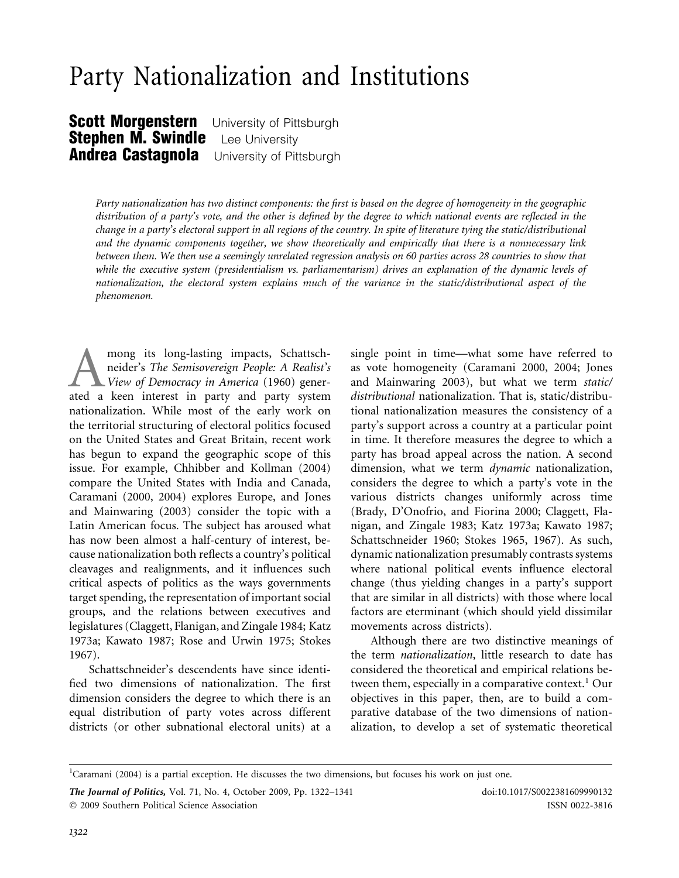# Party Nationalization and Institutions

**Scott Morgenstern** University of Pittsburgh Stephen M. Swindle Lee University **Andrea Castagnola** University of Pittsburgh

Party nationalization has two distinct components: the first is based on the degree of homogeneity in the geographic distribution of a party's vote, and the other is defined by the degree to which national events are reflected in the change in a party's electoral support in all regions of the country. In spite of literature tying the static/distributional and the dynamic components together, we show theoretically and empirically that there is a nonnecessary link between them. We then use a seemingly unrelated regression analysis on 60 parties across 28 countries to show that while the executive system (presidentialism vs. parliamentarism) drives an explanation of the dynamic levels of nationalization, the electoral system explains much of the variance in the static/distributional aspect of the phenomenon.

mong its long-lasting impacts, Schattsch-<br>neider's The Semisovereign People: A Realist's<br>View of Democracy in America (1960) gener-<br>ated a keen interest in party and party system neider's The Semisovereign People: A Realist's View of Democracy in America (1960) genernationalization. While most of the early work on the territorial structuring of electoral politics focused on the United States and Great Britain, recent work has begun to expand the geographic scope of this issue. For example, Chhibber and Kollman (2004) compare the United States with India and Canada, Caramani (2000, 2004) explores Europe, and Jones and Mainwaring (2003) consider the topic with a Latin American focus. The subject has aroused what has now been almost a half-century of interest, because nationalization both reflects a country's political cleavages and realignments, and it influences such critical aspects of politics as the ways governments target spending, the representation of important social groups, and the relations between executives and legislatures (Claggett, Flanigan, and Zingale 1984; Katz 1973a; Kawato 1987; Rose and Urwin 1975; Stokes 1967).

Schattschneider's descendents have since identified two dimensions of nationalization. The first dimension considers the degree to which there is an equal distribution of party votes across different districts (or other subnational electoral units) at a

single point in time—what some have referred to as vote homogeneity (Caramani 2000, 2004; Jones and Mainwaring 2003), but what we term static/ distributional nationalization. That is, static/distributional nationalization measures the consistency of a party's support across a country at a particular point in time. It therefore measures the degree to which a party has broad appeal across the nation. A second dimension, what we term dynamic nationalization, considers the degree to which a party's vote in the various districts changes uniformly across time (Brady, D'Onofrio, and Fiorina 2000; Claggett, Flanigan, and Zingale 1983; Katz 1973a; Kawato 1987; Schattschneider 1960; Stokes 1965, 1967). As such, dynamic nationalization presumably contrasts systems where national political events influence electoral change (thus yielding changes in a party's support that are similar in all districts) with those where local factors are eterminant (which should yield dissimilar movements across districts).

Although there are two distinctive meanings of the term nationalization, little research to date has considered the theoretical and empirical relations between them, especially in a comparative context.<sup>1</sup> Our objectives in this paper, then, are to build a comparative database of the two dimensions of nationalization, to develop a set of systematic theoretical

The Journal of Politics, Vol. 71, No. 4, October 2009, Pp. 1322–1341 doi:10.1017/S0022381609990132 © 2009 Southern Political Science Association **ISSN 0022-3816** 

<sup>&</sup>lt;sup>1</sup>Caramani (2004) is a partial exception. He discusses the two dimensions, but focuses his work on just one.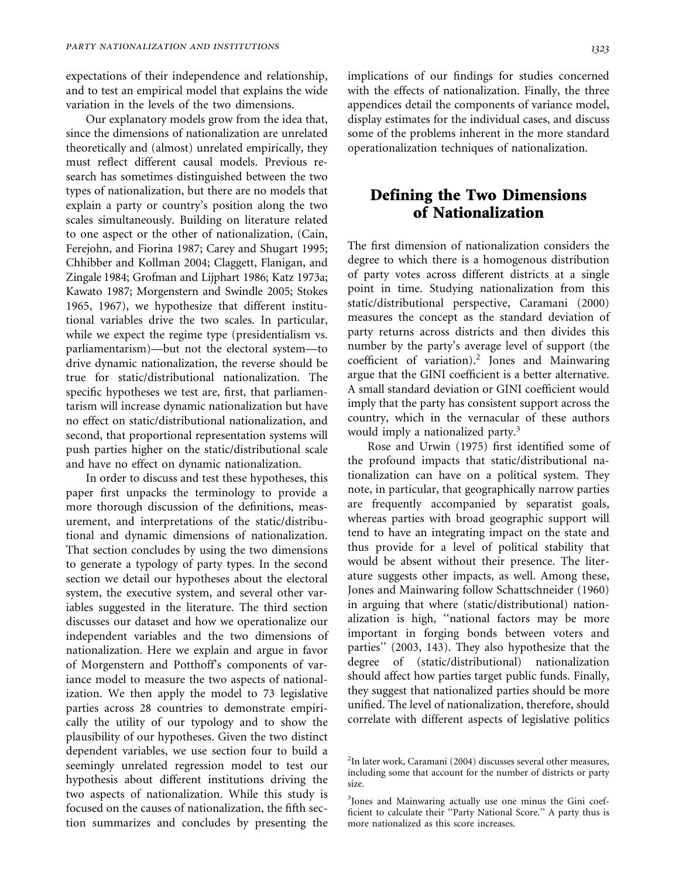expectations of their independence and relationship, and to test an empirical model that explains the wide variation in the levels of the two dimensions.

Our explanatory models grow from the idea that, since the dimensions of nationalization are unrelated theoretically and (almost) unrelated empirically, they must reflect different causal models. Previous research has sometimes distinguished between the two types of nationalization, but there are no models that explain a party or country's position along the two scales simultaneously. Building on literature related to one aspect or the other of nationalization, (Cain, Ferejohn, and Fiorina 1987; Carey and Shugart 1995; Chhibber and Kollman 2004; Claggett, Flanigan, and Zingale 1984; Grofman and Lijphart 1986; Katz 1973a; Kawato 1987; Morgenstern and Swindle 2005; Stokes 1965, 1967), we hypothesize that different institutional variables drive the two scales. In particular, while we expect the regime type (presidentialism vs. parliamentarism)—but not the electoral system—to drive dynamic nationalization, the reverse should be true for static/distributional nationalization. The specific hypotheses we test are, first, that parliamentarism will increase dynamic nationalization but have no effect on static/distributional nationalization, and second, that proportional representation systems will push parties higher on the static/distributional scale and have no effect on dynamic nationalization.

In order to discuss and test these hypotheses, this paper first unpacks the terminology to provide a more thorough discussion of the definitions, measurement, and interpretations of the static/distributional and dynamic dimensions of nationalization. That section concludes by using the two dimensions to generate a typology of party types. In the second section we detail our hypotheses about the electoral system, the executive system, and several other variables suggested in the literature. The third section discusses our dataset and how we operationalize our independent variables and the two dimensions of nationalization. Here we explain and argue in favor of Morgenstern and Potthoff's components of variance model to measure the two aspects of nationalization. We then apply the model to 73 legislative parties across 28 countries to demonstrate empirically the utility of our typology and to show the plausibility of our hypotheses. Given the two distinct dependent variables, we use section four to build a seemingly unrelated regression model to test our hypothesis about different institutions driving the two aspects of nationalization. While this study is focused on the causes of nationalization, the fifth section summarizes and concludes by presenting the implications of our findings for studies concerned with the effects of nationalization. Finally, the three appendices detail the components of variance model, display estimates for the individual cases, and discuss some of the problems inherent in the more standard operationalization techniques of nationalization.

# Defining the Two Dimensions of Nationalization

The first dimension of nationalization considers the degree to which there is a homogenous distribution of party votes across different districts at a single point in time. Studying nationalization from this static/distributional perspective, Caramani (2000) measures the concept as the standard deviation of party returns across districts and then divides this number by the party's average level of support (the coefficient of variation).<sup>2</sup> Jones and Mainwaring argue that the GINI coefficient is a better alternative. A small standard deviation or GINI coefficient would imply that the party has consistent support across the country, which in the vernacular of these authors would imply a nationalized party.<sup>3</sup>

Rose and Urwin (1975) first identified some of the profound impacts that static/distributional nationalization can have on a political system. They note, in particular, that geographically narrow parties are frequently accompanied by separatist goals, whereas parties with broad geographic support will tend to have an integrating impact on the state and thus provide for a level of political stability that would be absent without their presence. The literature suggests other impacts, as well. Among these, Jones and Mainwaring follow Schattschneider (1960) in arguing that where (static/distributional) nationalization is high, ''national factors may be more important in forging bonds between voters and parties'' (2003, 143). They also hypothesize that the degree of (static/distributional) nationalization should affect how parties target public funds. Finally, they suggest that nationalized parties should be more unified. The level of nationalization, therefore, should correlate with different aspects of legislative politics

 $^{2}$ In later work, Caramani (2004) discusses several other measures, including some that account for the number of districts or party size.

<sup>&</sup>lt;sup>3</sup>Jones and Mainwaring actually use one minus the Gini coefficient to calculate their ''Party National Score.'' A party thus is more nationalized as this score increases.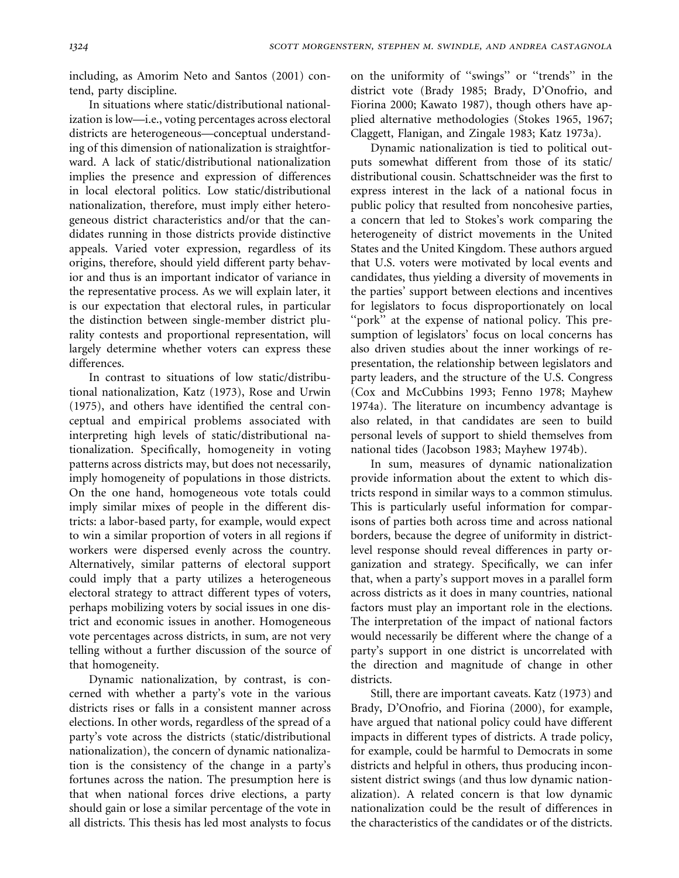including, as Amorim Neto and Santos (2001) contend, party discipline.

In situations where static/distributional nationalization is low—i.e., voting percentages across electoral districts are heterogeneous—conceptual understanding of this dimension of nationalization is straightforward. A lack of static/distributional nationalization implies the presence and expression of differences in local electoral politics. Low static/distributional nationalization, therefore, must imply either heterogeneous district characteristics and/or that the candidates running in those districts provide distinctive appeals. Varied voter expression, regardless of its origins, therefore, should yield different party behavior and thus is an important indicator of variance in the representative process. As we will explain later, it is our expectation that electoral rules, in particular the distinction between single-member district plurality contests and proportional representation, will largely determine whether voters can express these differences.

In contrast to situations of low static/distributional nationalization, Katz (1973), Rose and Urwin (1975), and others have identified the central conceptual and empirical problems associated with interpreting high levels of static/distributional nationalization. Specifically, homogeneity in voting patterns across districts may, but does not necessarily, imply homogeneity of populations in those districts. On the one hand, homogeneous vote totals could imply similar mixes of people in the different districts: a labor-based party, for example, would expect to win a similar proportion of voters in all regions if workers were dispersed evenly across the country. Alternatively, similar patterns of electoral support could imply that a party utilizes a heterogeneous electoral strategy to attract different types of voters, perhaps mobilizing voters by social issues in one district and economic issues in another. Homogeneous vote percentages across districts, in sum, are not very telling without a further discussion of the source of that homogeneity.

Dynamic nationalization, by contrast, is concerned with whether a party's vote in the various districts rises or falls in a consistent manner across elections. In other words, regardless of the spread of a party's vote across the districts (static/distributional nationalization), the concern of dynamic nationalization is the consistency of the change in a party's fortunes across the nation. The presumption here is that when national forces drive elections, a party should gain or lose a similar percentage of the vote in all districts. This thesis has led most analysts to focus on the uniformity of ''swings'' or ''trends'' in the district vote (Brady 1985; Brady, D'Onofrio, and Fiorina 2000; Kawato 1987), though others have applied alternative methodologies (Stokes 1965, 1967; Claggett, Flanigan, and Zingale 1983; Katz 1973a).

Dynamic nationalization is tied to political outputs somewhat different from those of its static/ distributional cousin. Schattschneider was the first to express interest in the lack of a national focus in public policy that resulted from noncohesive parties, a concern that led to Stokes's work comparing the heterogeneity of district movements in the United States and the United Kingdom. These authors argued that U.S. voters were motivated by local events and candidates, thus yielding a diversity of movements in the parties' support between elections and incentives for legislators to focus disproportionately on local "pork" at the expense of national policy. This presumption of legislators' focus on local concerns has also driven studies about the inner workings of representation, the relationship between legislators and party leaders, and the structure of the U.S. Congress (Cox and McCubbins 1993; Fenno 1978; Mayhew 1974a). The literature on incumbency advantage is also related, in that candidates are seen to build personal levels of support to shield themselves from national tides (Jacobson 1983; Mayhew 1974b).

In sum, measures of dynamic nationalization provide information about the extent to which districts respond in similar ways to a common stimulus. This is particularly useful information for comparisons of parties both across time and across national borders, because the degree of uniformity in districtlevel response should reveal differences in party organization and strategy. Specifically, we can infer that, when a party's support moves in a parallel form across districts as it does in many countries, national factors must play an important role in the elections. The interpretation of the impact of national factors would necessarily be different where the change of a party's support in one district is uncorrelated with the direction and magnitude of change in other districts.

Still, there are important caveats. Katz (1973) and Brady, D'Onofrio, and Fiorina (2000), for example, have argued that national policy could have different impacts in different types of districts. A trade policy, for example, could be harmful to Democrats in some districts and helpful in others, thus producing inconsistent district swings (and thus low dynamic nationalization). A related concern is that low dynamic nationalization could be the result of differences in the characteristics of the candidates or of the districts.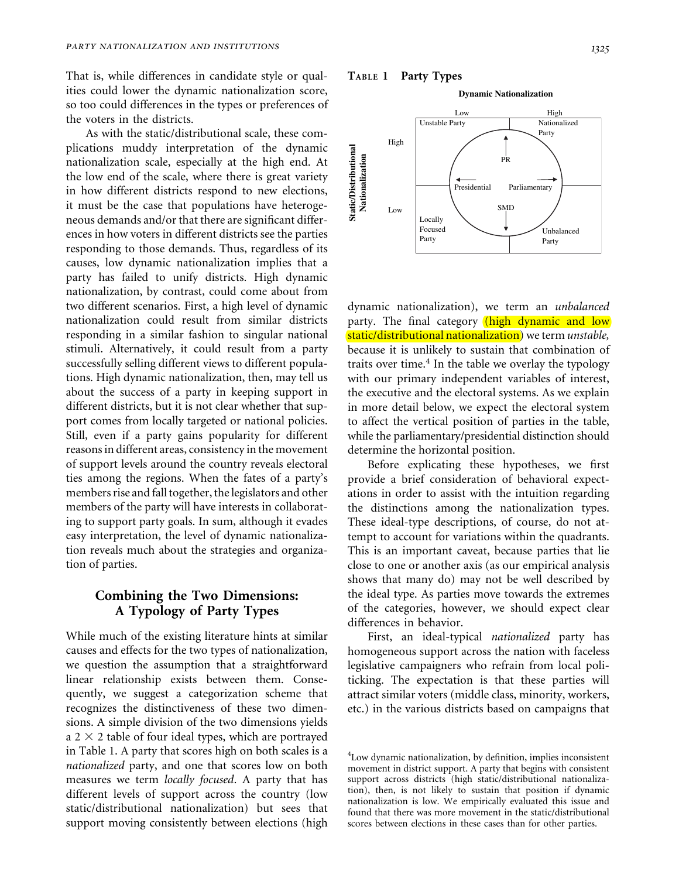That is, while differences in candidate style or qualities could lower the dynamic nationalization score, so too could differences in the types or preferences of the voters in the districts.

As with the static/distributional scale, these complications muddy interpretation of the dynamic nationalization scale, especially at the high end. At the low end of the scale, where there is great variety in how different districts respond to new elections, it must be the case that populations have heterogeneous demands and/or that there are significant differences in how voters in different districts see the parties responding to those demands. Thus, regardless of its causes, low dynamic nationalization implies that a party has failed to unify districts. High dynamic nationalization, by contrast, could come about from two different scenarios. First, a high level of dynamic nationalization could result from similar districts responding in a similar fashion to singular national stimuli. Alternatively, it could result from a party successfully selling different views to different populations. High dynamic nationalization, then, may tell us about the success of a party in keeping support in different districts, but it is not clear whether that support comes from locally targeted or national policies. Still, even if a party gains popularity for different reasons in different areas, consistency in the movement of support levels around the country reveals electoral ties among the regions. When the fates of a party's members rise and fall together, the legislators and other members of the party will have interests in collaborating to support party goals. In sum, although it evades easy interpretation, the level of dynamic nationalization reveals much about the strategies and organization of parties.

### Combining the Two Dimensions: A Typology of Party Types

While much of the existing literature hints at similar causes and effects for the two types of nationalization, we question the assumption that a straightforward linear relationship exists between them. Consequently, we suggest a categorization scheme that recognizes the distinctiveness of these two dimensions. A simple division of the two dimensions yields a  $2 \times 2$  table of four ideal types, which are portrayed in Table 1. A party that scores high on both scales is a nationalized party, and one that scores low on both measures we term locally focused. A party that has different levels of support across the country (low static/distributional nationalization) but sees that support moving consistently between elections (high

#### TABLE 1 Party Types





dynamic nationalization), we term an unbalanced party. The final category (high dynamic and low static/distributional nationalization) we term unstable, because it is unlikely to sustain that combination of traits over time.<sup>4</sup> In the table we overlay the typology with our primary independent variables of interest, the executive and the electoral systems. As we explain in more detail below, we expect the electoral system to affect the vertical position of parties in the table, while the parliamentary/presidential distinction should determine the horizontal position.

Before explicating these hypotheses, we first provide a brief consideration of behavioral expectations in order to assist with the intuition regarding the distinctions among the nationalization types. These ideal-type descriptions, of course, do not attempt to account for variations within the quadrants. This is an important caveat, because parties that lie close to one or another axis (as our empirical analysis shows that many do) may not be well described by the ideal type. As parties move towards the extremes of the categories, however, we should expect clear differences in behavior.

First, an ideal-typical nationalized party has homogeneous support across the nation with faceless legislative campaigners who refrain from local politicking. The expectation is that these parties will attract similar voters (middle class, minority, workers, etc.) in the various districts based on campaigns that

<sup>4</sup> Low dynamic nationalization, by definition, implies inconsistent movement in district support. A party that begins with consistent support across districts (high static/distributional nationalization), then, is not likely to sustain that position if dynamic nationalization is low. We empirically evaluated this issue and found that there was more movement in the static/distributional scores between elections in these cases than for other parties.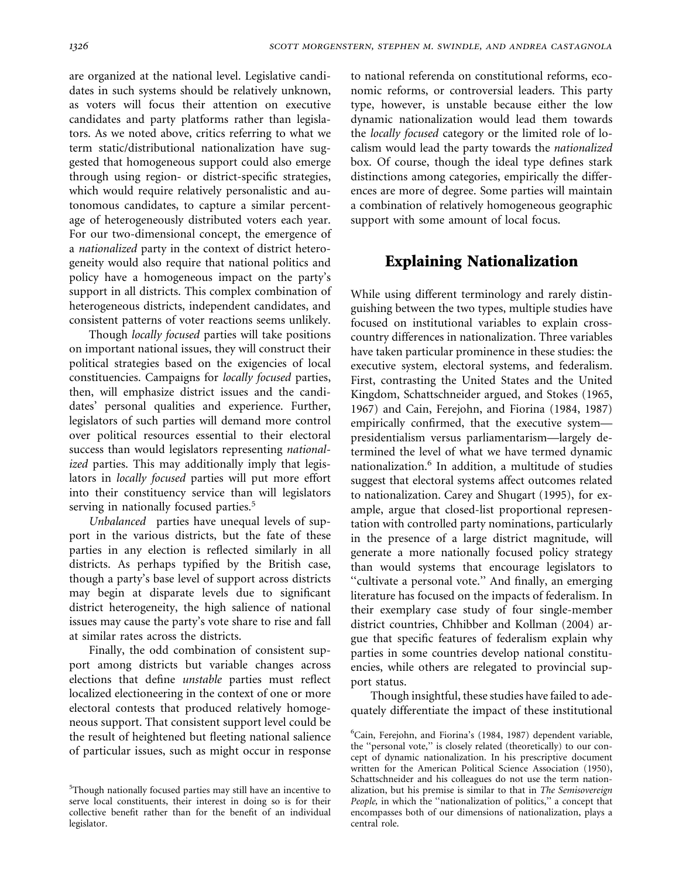are organized at the national level. Legislative candidates in such systems should be relatively unknown, as voters will focus their attention on executive candidates and party platforms rather than legislators. As we noted above, critics referring to what we term static/distributional nationalization have suggested that homogeneous support could also emerge through using region- or district-specific strategies, which would require relatively personalistic and autonomous candidates, to capture a similar percentage of heterogeneously distributed voters each year. For our two-dimensional concept, the emergence of a nationalized party in the context of district heterogeneity would also require that national politics and policy have a homogeneous impact on the party's support in all districts. This complex combination of heterogeneous districts, independent candidates, and consistent patterns of voter reactions seems unlikely.

Though locally focused parties will take positions on important national issues, they will construct their political strategies based on the exigencies of local constituencies. Campaigns for locally focused parties, then, will emphasize district issues and the candidates' personal qualities and experience. Further, legislators of such parties will demand more control over political resources essential to their electoral success than would legislators representing nationalized parties. This may additionally imply that legislators in locally focused parties will put more effort into their constituency service than will legislators serving in nationally focused parties.<sup>5</sup>

Unbalanced parties have unequal levels of support in the various districts, but the fate of these parties in any election is reflected similarly in all districts. As perhaps typified by the British case, though a party's base level of support across districts may begin at disparate levels due to significant district heterogeneity, the high salience of national issues may cause the party's vote share to rise and fall at similar rates across the districts.

Finally, the odd combination of consistent support among districts but variable changes across elections that define unstable parties must reflect localized electioneering in the context of one or more electoral contests that produced relatively homogeneous support. That consistent support level could be the result of heightened but fleeting national salience of particular issues, such as might occur in response to national referenda on constitutional reforms, economic reforms, or controversial leaders. This party type, however, is unstable because either the low dynamic nationalization would lead them towards the locally focused category or the limited role of localism would lead the party towards the nationalized box. Of course, though the ideal type defines stark distinctions among categories, empirically the differences are more of degree. Some parties will maintain a combination of relatively homogeneous geographic support with some amount of local focus.

# Explaining Nationalization

While using different terminology and rarely distinguishing between the two types, multiple studies have focused on institutional variables to explain crosscountry differences in nationalization. Three variables have taken particular prominence in these studies: the executive system, electoral systems, and federalism. First, contrasting the United States and the United Kingdom, Schattschneider argued, and Stokes (1965, 1967) and Cain, Ferejohn, and Fiorina (1984, 1987) empirically confirmed, that the executive system presidentialism versus parliamentarism—largely determined the level of what we have termed dynamic nationalization.<sup>6</sup> In addition, a multitude of studies suggest that electoral systems affect outcomes related to nationalization. Carey and Shugart (1995), for example, argue that closed-list proportional representation with controlled party nominations, particularly in the presence of a large district magnitude, will generate a more nationally focused policy strategy than would systems that encourage legislators to ''cultivate a personal vote.'' And finally, an emerging literature has focused on the impacts of federalism. In their exemplary case study of four single-member district countries, Chhibber and Kollman (2004) argue that specific features of federalism explain why parties in some countries develop national constituencies, while others are relegated to provincial support status.

Though insightful, these studies have failed to adequately differentiate the impact of these institutional

<sup>&</sup>lt;sup>5</sup>Though nationally focused parties may still have an incentive to serve local constituents, their interest in doing so is for their collective benefit rather than for the benefit of an individual legislator.

<sup>6</sup> Cain, Ferejohn, and Fiorina's (1984, 1987) dependent variable, the ''personal vote,'' is closely related (theoretically) to our concept of dynamic nationalization. In his prescriptive document written for the American Political Science Association (1950), Schattschneider and his colleagues do not use the term nationalization, but his premise is similar to that in The Semisovereign People, in which the ''nationalization of politics,'' a concept that encompasses both of our dimensions of nationalization, plays a central role.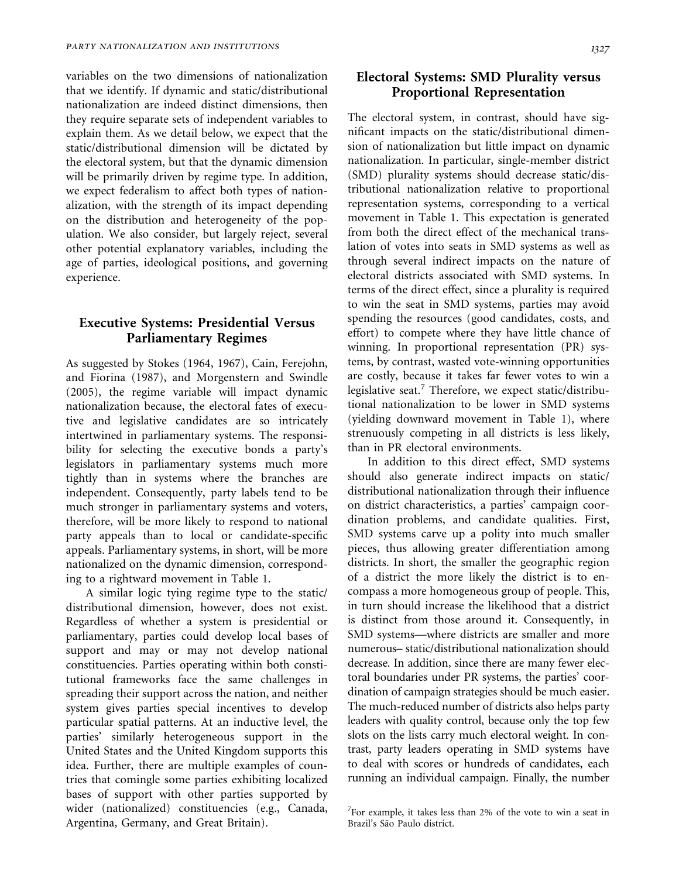variables on the two dimensions of nationalization that we identify. If dynamic and static/distributional nationalization are indeed distinct dimensions, then they require separate sets of independent variables to explain them. As we detail below, we expect that the static/distributional dimension will be dictated by the electoral system, but that the dynamic dimension will be primarily driven by regime type. In addition, we expect federalism to affect both types of nationalization, with the strength of its impact depending on the distribution and heterogeneity of the population. We also consider, but largely reject, several other potential explanatory variables, including the age of parties, ideological positions, and governing experience.

#### Executive Systems: Presidential Versus Parliamentary Regimes

As suggested by Stokes (1964, 1967), Cain, Ferejohn, and Fiorina (1987), and Morgenstern and Swindle (2005), the regime variable will impact dynamic nationalization because, the electoral fates of executive and legislative candidates are so intricately intertwined in parliamentary systems. The responsibility for selecting the executive bonds a party's legislators in parliamentary systems much more tightly than in systems where the branches are independent. Consequently, party labels tend to be much stronger in parliamentary systems and voters, therefore, will be more likely to respond to national party appeals than to local or candidate-specific appeals. Parliamentary systems, in short, will be more nationalized on the dynamic dimension, corresponding to a rightward movement in Table 1.

A similar logic tying regime type to the static/ distributional dimension, however, does not exist. Regardless of whether a system is presidential or parliamentary, parties could develop local bases of support and may or may not develop national constituencies. Parties operating within both constitutional frameworks face the same challenges in spreading their support across the nation, and neither system gives parties special incentives to develop particular spatial patterns. At an inductive level, the parties' similarly heterogeneous support in the United States and the United Kingdom supports this idea. Further, there are multiple examples of countries that comingle some parties exhibiting localized bases of support with other parties supported by wider (nationalized) constituencies (e.g., Canada, Argentina, Germany, and Great Britain).

The electoral system, in contrast, should have significant impacts on the static/distributional dimension of nationalization but little impact on dynamic nationalization. In particular, single-member district (SMD) plurality systems should decrease static/distributional nationalization relative to proportional representation systems, corresponding to a vertical movement in Table 1. This expectation is generated from both the direct effect of the mechanical translation of votes into seats in SMD systems as well as through several indirect impacts on the nature of electoral districts associated with SMD systems. In terms of the direct effect, since a plurality is required to win the seat in SMD systems, parties may avoid spending the resources (good candidates, costs, and effort) to compete where they have little chance of winning. In proportional representation (PR) systems, by contrast, wasted vote-winning opportunities are costly, because it takes far fewer votes to win a legislative seat.<sup>7</sup> Therefore, we expect static/distributional nationalization to be lower in SMD systems (yielding downward movement in Table 1), where strenuously competing in all districts is less likely, than in PR electoral environments.

In addition to this direct effect, SMD systems should also generate indirect impacts on static/ distributional nationalization through their influence on district characteristics, a parties' campaign coordination problems, and candidate qualities. First, SMD systems carve up a polity into much smaller pieces, thus allowing greater differentiation among districts. In short, the smaller the geographic region of a district the more likely the district is to encompass a more homogeneous group of people. This, in turn should increase the likelihood that a district is distinct from those around it. Consequently, in SMD systems—where districts are smaller and more numerous– static/distributional nationalization should decrease. In addition, since there are many fewer electoral boundaries under PR systems, the parties' coordination of campaign strategies should be much easier. The much-reduced number of districts also helps party leaders with quality control, because only the top few slots on the lists carry much electoral weight. In contrast, party leaders operating in SMD systems have to deal with scores or hundreds of candidates, each running an individual campaign. Finally, the number

 $7$ For example, it takes less than 2% of the vote to win a seat in Brazil's São Paulo district.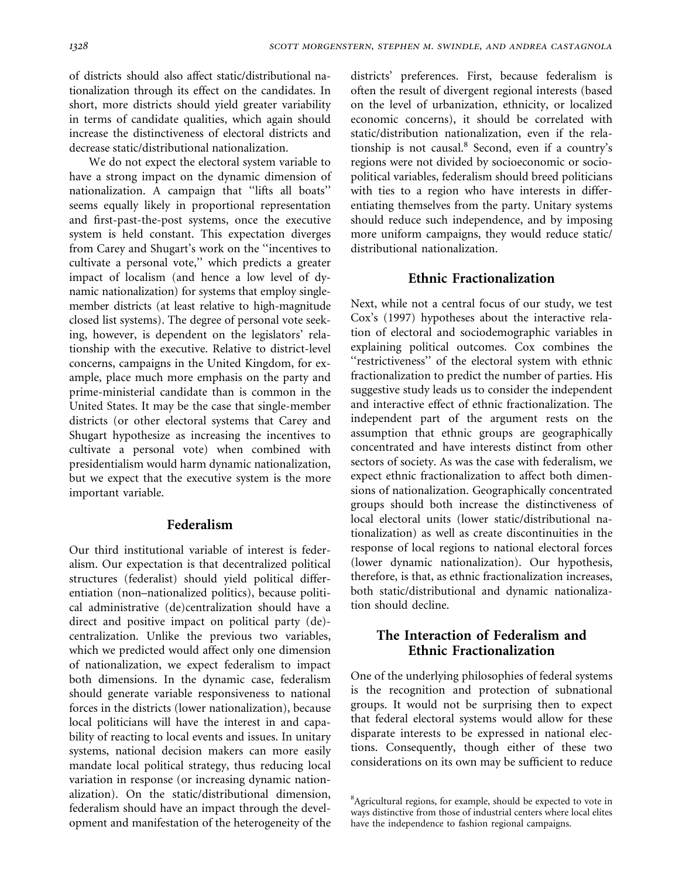We do not expect the electoral system variable to have a strong impact on the dynamic dimension of nationalization. A campaign that ''lifts all boats'' seems equally likely in proportional representation and first-past-the-post systems, once the executive system is held constant. This expectation diverges from Carey and Shugart's work on the ''incentives to cultivate a personal vote,'' which predicts a greater impact of localism (and hence a low level of dynamic nationalization) for systems that employ singlemember districts (at least relative to high-magnitude closed list systems). The degree of personal vote seeking, however, is dependent on the legislators' relationship with the executive. Relative to district-level concerns, campaigns in the United Kingdom, for example, place much more emphasis on the party and prime-ministerial candidate than is common in the United States. It may be the case that single-member districts (or other electoral systems that Carey and Shugart hypothesize as increasing the incentives to cultivate a personal vote) when combined with presidentialism would harm dynamic nationalization, but we expect that the executive system is the more important variable.

#### Federalism

Our third institutional variable of interest is federalism. Our expectation is that decentralized political structures (federalist) should yield political differentiation (non–nationalized politics), because political administrative (de)centralization should have a direct and positive impact on political party (de) centralization. Unlike the previous two variables, which we predicted would affect only one dimension of nationalization, we expect federalism to impact both dimensions. In the dynamic case, federalism should generate variable responsiveness to national forces in the districts (lower nationalization), because local politicians will have the interest in and capability of reacting to local events and issues. In unitary systems, national decision makers can more easily mandate local political strategy, thus reducing local variation in response (or increasing dynamic nationalization). On the static/distributional dimension, federalism should have an impact through the development and manifestation of the heterogeneity of the districts' preferences. First, because federalism is often the result of divergent regional interests (based on the level of urbanization, ethnicity, or localized economic concerns), it should be correlated with static/distribution nationalization, even if the relationship is not causal.<sup>8</sup> Second, even if a country's regions were not divided by socioeconomic or sociopolitical variables, federalism should breed politicians with ties to a region who have interests in differentiating themselves from the party. Unitary systems should reduce such independence, and by imposing more uniform campaigns, they would reduce static/ distributional nationalization.

# Ethnic Fractionalization

Next, while not a central focus of our study, we test Cox's (1997) hypotheses about the interactive relation of electoral and sociodemographic variables in explaining political outcomes. Cox combines the "restrictiveness" of the electoral system with ethnic fractionalization to predict the number of parties. His suggestive study leads us to consider the independent and interactive effect of ethnic fractionalization. The independent part of the argument rests on the assumption that ethnic groups are geographically concentrated and have interests distinct from other sectors of society. As was the case with federalism, we expect ethnic fractionalization to affect both dimensions of nationalization. Geographically concentrated groups should both increase the distinctiveness of local electoral units (lower static/distributional nationalization) as well as create discontinuities in the response of local regions to national electoral forces (lower dynamic nationalization). Our hypothesis, therefore, is that, as ethnic fractionalization increases, both static/distributional and dynamic nationalization should decline.

# The Interaction of Federalism and Ethnic Fractionalization

One of the underlying philosophies of federal systems is the recognition and protection of subnational groups. It would not be surprising then to expect that federal electoral systems would allow for these disparate interests to be expressed in national elections. Consequently, though either of these two considerations on its own may be sufficient to reduce

<sup>&</sup>lt;sup>8</sup>Agricultural regions, for example, should be expected to vote in ways distinctive from those of industrial centers where local elites have the independence to fashion regional campaigns.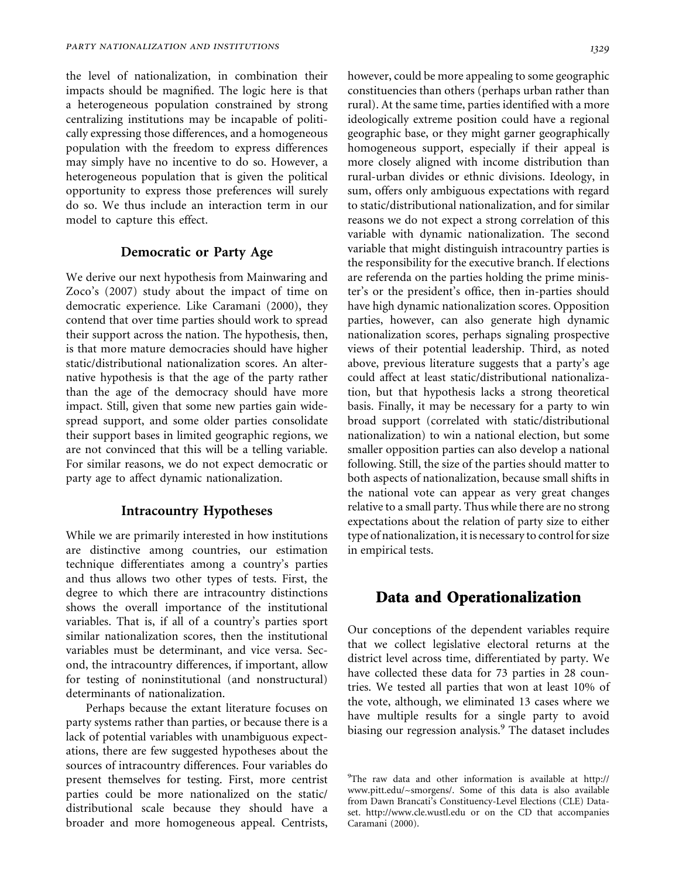the level of nationalization, in combination their impacts should be magnified. The logic here is that a heterogeneous population constrained by strong centralizing institutions may be incapable of politically expressing those differences, and a homogeneous population with the freedom to express differences may simply have no incentive to do so. However, a heterogeneous population that is given the political opportunity to express those preferences will surely do so. We thus include an interaction term in our model to capture this effect.

#### Democratic or Party Age

We derive our next hypothesis from Mainwaring and Zoco's (2007) study about the impact of time on democratic experience. Like Caramani (2000), they contend that over time parties should work to spread their support across the nation. The hypothesis, then, is that more mature democracies should have higher static/distributional nationalization scores. An alternative hypothesis is that the age of the party rather than the age of the democracy should have more impact. Still, given that some new parties gain widespread support, and some older parties consolidate their support bases in limited geographic regions, we are not convinced that this will be a telling variable. For similar reasons, we do not expect democratic or party age to affect dynamic nationalization.

#### Intracountry Hypotheses

While we are primarily interested in how institutions are distinctive among countries, our estimation technique differentiates among a country's parties and thus allows two other types of tests. First, the degree to which there are intracountry distinctions shows the overall importance of the institutional variables. That is, if all of a country's parties sport similar nationalization scores, then the institutional variables must be determinant, and vice versa. Second, the intracountry differences, if important, allow for testing of noninstitutional (and nonstructural) determinants of nationalization.

Perhaps because the extant literature focuses on party systems rather than parties, or because there is a lack of potential variables with unambiguous expectations, there are few suggested hypotheses about the sources of intracountry differences. Four variables do present themselves for testing. First, more centrist parties could be more nationalized on the static/ distributional scale because they should have a broader and more homogeneous appeal. Centrists, however, could be more appealing to some geographic constituencies than others (perhaps urban rather than rural). At the same time, parties identified with a more ideologically extreme position could have a regional geographic base, or they might garner geographically homogeneous support, especially if their appeal is more closely aligned with income distribution than rural-urban divides or ethnic divisions. Ideology, in sum, offers only ambiguous expectations with regard to static/distributional nationalization, and for similar reasons we do not expect a strong correlation of this variable with dynamic nationalization. The second variable that might distinguish intracountry parties is the responsibility for the executive branch. If elections are referenda on the parties holding the prime minister's or the president's office, then in-parties should have high dynamic nationalization scores. Opposition parties, however, can also generate high dynamic nationalization scores, perhaps signaling prospective views of their potential leadership. Third, as noted above, previous literature suggests that a party's age could affect at least static/distributional nationalization, but that hypothesis lacks a strong theoretical basis. Finally, it may be necessary for a party to win broad support (correlated with static/distributional nationalization) to win a national election, but some smaller opposition parties can also develop a national following. Still, the size of the parties should matter to both aspects of nationalization, because small shifts in the national vote can appear as very great changes relative to a small party. Thus while there are no strong expectations about the relation of party size to either type of nationalization, it is necessary to control for size in empirical tests.

#### Data and Operationalization

Our conceptions of the dependent variables require that we collect legislative electoral returns at the district level across time, differentiated by party. We have collected these data for 73 parties in 28 countries. We tested all parties that won at least 10% of the vote, although, we eliminated 13 cases where we have multiple results for a single party to avoid biasing our regression analysis.<sup>9</sup> The dataset includes

<sup>&</sup>lt;sup>9</sup>The raw data and other information is available at http:// www.pitt.edu/~smorgens/. Some of this data is also available from Dawn Brancati's Constituency-Level Elections (CLE) Dataset. http://www.cle.wustl.edu or on the CD that accompanies Caramani (2000).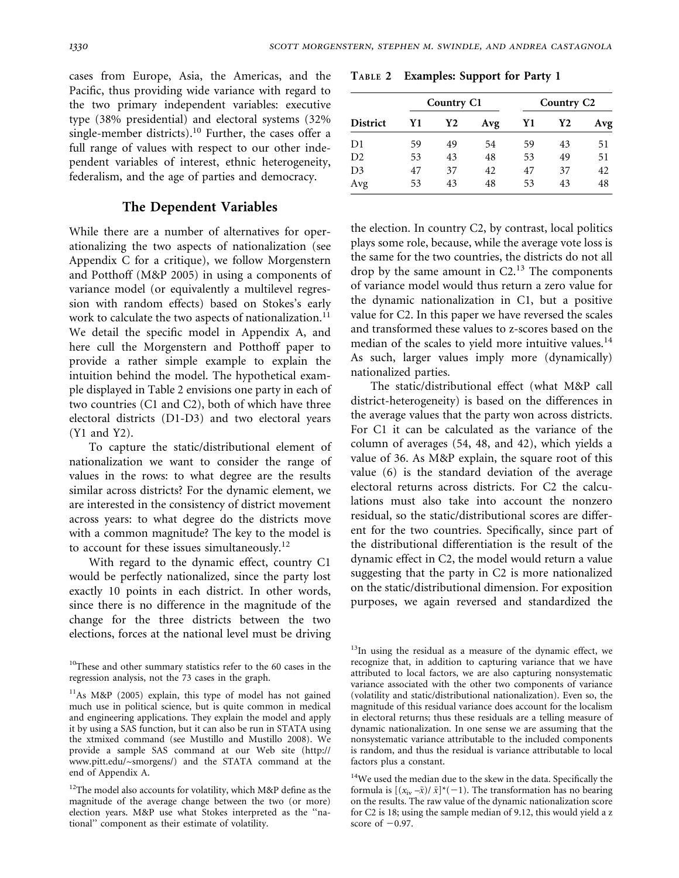TABLE 2 Examples: Support for Party 1

cases from Europe, Asia, the Americas, and the Pacific, thus providing wide variance with regard to the two primary independent variables: executive type (38% presidential) and electoral systems (32% single-member districts).<sup>10</sup> Further, the cases offer a full range of values with respect to our other independent variables of interest, ethnic heterogeneity, federalism, and the age of parties and democracy.

# The Dependent Variables

While there are a number of alternatives for operationalizing the two aspects of nationalization (see Appendix C for a critique), we follow Morgenstern and Potthoff (M&P 2005) in using a components of variance model (or equivalently a multilevel regression with random effects) based on Stokes's early work to calculate the two aspects of nationalization.<sup>11</sup> We detail the specific model in Appendix A, and here cull the Morgenstern and Potthoff paper to provide a rather simple example to explain the intuition behind the model. The hypothetical example displayed in Table 2 envisions one party in each of two countries (C1 and C2), both of which have three electoral districts (D1-D3) and two electoral years (Y1 and Y2).

To capture the static/distributional element of nationalization we want to consider the range of values in the rows: to what degree are the results similar across districts? For the dynamic element, we are interested in the consistency of district movement across years: to what degree do the districts move with a common magnitude? The key to the model is to account for these issues simultaneously.<sup>12</sup>

With regard to the dynamic effect, country C1 would be perfectly nationalized, since the party lost exactly 10 points in each district. In other words, since there is no difference in the magnitude of the change for the three districts between the two elections, forces at the national level must be driving

|                 | <b>Country C1</b> |    |     | Country C <sub>2</sub> |    |     |  |
|-----------------|-------------------|----|-----|------------------------|----|-----|--|
| <b>District</b> | Y1                | Y2 | Avg | Y1                     | Y2 | Avg |  |
| D1              | 59                | 49 | 54  | 59                     | 43 | 51  |  |
| D <sub>2</sub>  | 53                | 43 | 48  | 53                     | 49 | 51  |  |
| D3              | 47                | 37 | 42  | 47                     | 37 | 42  |  |
| Avg             | 53                | 43 | 48  | 53                     | 43 | 48  |  |

the election. In country C2, by contrast, local politics plays some role, because, while the average vote loss is the same for the two countries, the districts do not all drop by the same amount in C2.<sup>13</sup> The components of variance model would thus return a zero value for the dynamic nationalization in C1, but a positive value for C2. In this paper we have reversed the scales and transformed these values to z-scores based on the median of the scales to yield more intuitive values.<sup>14</sup> As such, larger values imply more (dynamically) nationalized parties.

The static/distributional effect (what M&P call district-heterogeneity) is based on the differences in the average values that the party won across districts. For C1 it can be calculated as the variance of the column of averages (54, 48, and 42), which yields a value of 36. As M&P explain, the square root of this value (6) is the standard deviation of the average electoral returns across districts. For C2 the calculations must also take into account the nonzero residual, so the static/distributional scores are different for the two countries. Specifically, since part of the distributional differentiation is the result of the dynamic effect in C2, the model would return a value suggesting that the party in C2 is more nationalized on the static/distributional dimension. For exposition purposes, we again reversed and standardized the

<sup>&</sup>lt;sup>10</sup>These and other summary statistics refer to the 60 cases in the regression analysis, not the 73 cases in the graph.

<sup>11</sup>As M&P (2005) explain, this type of model has not gained much use in political science, but is quite common in medical and engineering applications. They explain the model and apply it by using a SAS function, but it can also be run in STATA using the xtmixed command (see Mustillo and Mustillo 2008). We provide a sample SAS command at our Web site (http:// www.pitt.edu/~smorgens/) and the STATA command at the end of Appendix A.

 $12$ The model also accounts for volatility, which M&P define as the magnitude of the average change between the two (or more) election years. M&P use what Stokes interpreted as the ''national'' component as their estimate of volatility.

<sup>&</sup>lt;sup>13</sup>In using the residual as a measure of the dynamic effect, we recognize that, in addition to capturing variance that we have attributed to local factors, we are also capturing nonsystematic variance associated with the other two components of variance (volatility and static/distributional nationalization). Even so, the magnitude of this residual variance does account for the localism in electoral returns; thus these residuals are a telling measure of dynamic nationalization. In one sense we are assuming that the nonsystematic variance attributable to the included components is random, and thus the residual is variance attributable to local factors plus a constant.

<sup>&</sup>lt;sup>14</sup>We used the median due to the skew in the data. Specifically the formula is  $[(x_{iv} - \tilde{x})/\tilde{x}]^*(-1)$ . The transformation has no bearing on the results. The raw value of the dynamic nationalization score for C2 is 18; using the sample median of 9.12, this would yield a z score of  $-0.97$ .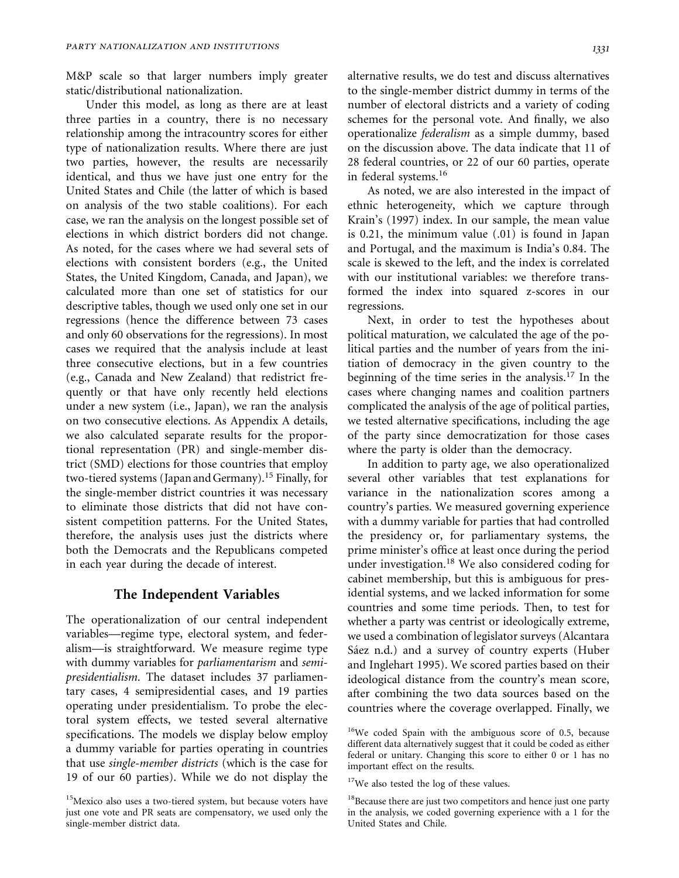M&P scale so that larger numbers imply greater static/distributional nationalization.

Under this model, as long as there are at least three parties in a country, there is no necessary relationship among the intracountry scores for either type of nationalization results. Where there are just two parties, however, the results are necessarily identical, and thus we have just one entry for the United States and Chile (the latter of which is based on analysis of the two stable coalitions). For each case, we ran the analysis on the longest possible set of elections in which district borders did not change. As noted, for the cases where we had several sets of elections with consistent borders (e.g., the United States, the United Kingdom, Canada, and Japan), we calculated more than one set of statistics for our descriptive tables, though we used only one set in our regressions (hence the difference between 73 cases and only 60 observations for the regressions). In most cases we required that the analysis include at least three consecutive elections, but in a few countries (e.g., Canada and New Zealand) that redistrict frequently or that have only recently held elections under a new system (i.e., Japan), we ran the analysis on two consecutive elections. As Appendix A details, we also calculated separate results for the proportional representation (PR) and single-member district (SMD) elections for those countries that employ two-tiered systems (Japan and Germany).<sup>15</sup> Finally, for the single-member district countries it was necessary to eliminate those districts that did not have consistent competition patterns. For the United States, therefore, the analysis uses just the districts where both the Democrats and the Republicans competed in each year during the decade of interest.

#### The Independent Variables

The operationalization of our central independent variables—regime type, electoral system, and federalism—is straightforward. We measure regime type with dummy variables for *parliamentarism* and *semi*presidentialism. The dataset includes 37 parliamentary cases, 4 semipresidential cases, and 19 parties operating under presidentialism. To probe the electoral system effects, we tested several alternative specifications. The models we display below employ a dummy variable for parties operating in countries that use single-member districts (which is the case for 19 of our 60 parties). While we do not display the

alternative results, we do test and discuss alternatives to the single-member district dummy in terms of the number of electoral districts and a variety of coding schemes for the personal vote. And finally, we also operationalize federalism as a simple dummy, based on the discussion above. The data indicate that 11 of 28 federal countries, or 22 of our 60 parties, operate in federal systems.16

As noted, we are also interested in the impact of ethnic heterogeneity, which we capture through Krain's (1997) index. In our sample, the mean value is 0.21, the minimum value (.01) is found in Japan and Portugal, and the maximum is India's 0.84. The scale is skewed to the left, and the index is correlated with our institutional variables: we therefore transformed the index into squared z-scores in our regressions.

Next, in order to test the hypotheses about political maturation, we calculated the age of the political parties and the number of years from the initiation of democracy in the given country to the beginning of the time series in the analysis.<sup>17</sup> In the cases where changing names and coalition partners complicated the analysis of the age of political parties, we tested alternative specifications, including the age of the party since democratization for those cases where the party is older than the democracy.

In addition to party age, we also operationalized several other variables that test explanations for variance in the nationalization scores among a country's parties. We measured governing experience with a dummy variable for parties that had controlled the presidency or, for parliamentary systems, the prime minister's office at least once during the period under investigation.<sup>18</sup> We also considered coding for cabinet membership, but this is ambiguous for presidential systems, and we lacked information for some countries and some time periods. Then, to test for whether a party was centrist or ideologically extreme, we used a combination of legislator surveys (Alcantara Sáez n.d.) and a survey of country experts (Huber and Inglehart 1995). We scored parties based on their ideological distance from the country's mean score, after combining the two data sources based on the countries where the coverage overlapped. Finally, we

<sup>&</sup>lt;sup>15</sup>Mexico also uses a two-tiered system, but because voters have just one vote and PR seats are compensatory, we used only the single-member district data.

 $16$ We coded Spain with the ambiguous score of 0.5, because different data alternatively suggest that it could be coded as either federal or unitary. Changing this score to either 0 or 1 has no important effect on the results.

 $17$ We also tested the log of these values.

<sup>&</sup>lt;sup>18</sup>Because there are just two competitors and hence just one party in the analysis, we coded governing experience with a 1 for the United States and Chile.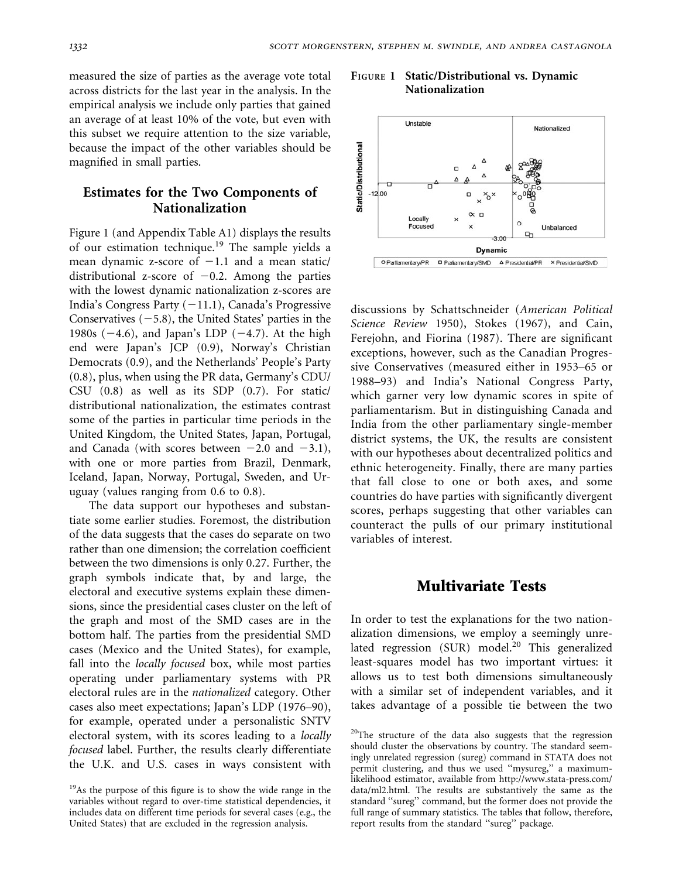measured the size of parties as the average vote total across districts for the last year in the analysis. In the empirical analysis we include only parties that gained an average of at least 10% of the vote, but even with this subset we require attention to the size variable, because the impact of the other variables should be magnified in small parties.

# Estimates for the Two Components of Nationalization

Figure 1 (and Appendix Table A1) displays the results of our estimation technique.19 The sample yields a mean dynamic z-score of  $-1.1$  and a mean static/ distributional z-score of  $-0.2$ . Among the parties with the lowest dynamic nationalization z-scores are India's Congress Party  $(-11.1)$ , Canada's Progressive Conservatives  $(-5.8)$ , the United States' parties in the 1980s  $(-4.6)$ , and Japan's LDP  $(-4.7)$ . At the high end were Japan's JCP (0.9), Norway's Christian Democrats (0.9), and the Netherlands' People's Party (0.8), plus, when using the PR data, Germany's CDU/ CSU (0.8) as well as its SDP (0.7). For static/ distributional nationalization, the estimates contrast some of the parties in particular time periods in the United Kingdom, the United States, Japan, Portugal, and Canada (with scores between  $-2.0$  and  $-3.1$ ), with one or more parties from Brazil, Denmark, Iceland, Japan, Norway, Portugal, Sweden, and Uruguay (values ranging from 0.6 to 0.8).

The data support our hypotheses and substantiate some earlier studies. Foremost, the distribution of the data suggests that the cases do separate on two rather than one dimension; the correlation coefficient between the two dimensions is only 0.27. Further, the graph symbols indicate that, by and large, the electoral and executive systems explain these dimensions, since the presidential cases cluster on the left of the graph and most of the SMD cases are in the bottom half. The parties from the presidential SMD cases (Mexico and the United States), for example, fall into the locally focused box, while most parties operating under parliamentary systems with PR electoral rules are in the nationalized category. Other cases also meet expectations; Japan's LDP (1976–90), for example, operated under a personalistic SNTV electoral system, with its scores leading to a locally focused label. Further, the results clearly differentiate the U.K. and U.S. cases in ways consistent with





discussions by Schattschneider (American Political Science Review 1950), Stokes (1967), and Cain, Ferejohn, and Fiorina (1987). There are significant exceptions, however, such as the Canadian Progressive Conservatives (measured either in 1953–65 or 1988–93) and India's National Congress Party, which garner very low dynamic scores in spite of parliamentarism. But in distinguishing Canada and India from the other parliamentary single-member district systems, the UK, the results are consistent with our hypotheses about decentralized politics and ethnic heterogeneity. Finally, there are many parties that fall close to one or both axes, and some countries do have parties with significantly divergent scores, perhaps suggesting that other variables can counteract the pulls of our primary institutional variables of interest.

### Multivariate Tests

In order to test the explanations for the two nationalization dimensions, we employ a seemingly unrelated regression (SUR) model.<sup>20</sup> This generalized least-squares model has two important virtues: it allows us to test both dimensions simultaneously with a similar set of independent variables, and it takes advantage of a possible tie between the two

<sup>&</sup>lt;sup>19</sup>As the purpose of this figure is to show the wide range in the variables without regard to over-time statistical dependencies, it includes data on different time periods for several cases (e.g., the United States) that are excluded in the regression analysis.

<sup>&</sup>lt;sup>20</sup>The structure of the data also suggests that the regression should cluster the observations by country. The standard seemingly unrelated regression (sureg) command in STATA does not permit clustering, and thus we used ''mysureg,'' a maximumlikelihood estimator, available from http://www.stata-press.com/ data/ml2.html. The results are substantively the same as the standard ''sureg'' command, but the former does not provide the full range of summary statistics. The tables that follow, therefore, report results from the standard ''sureg'' package.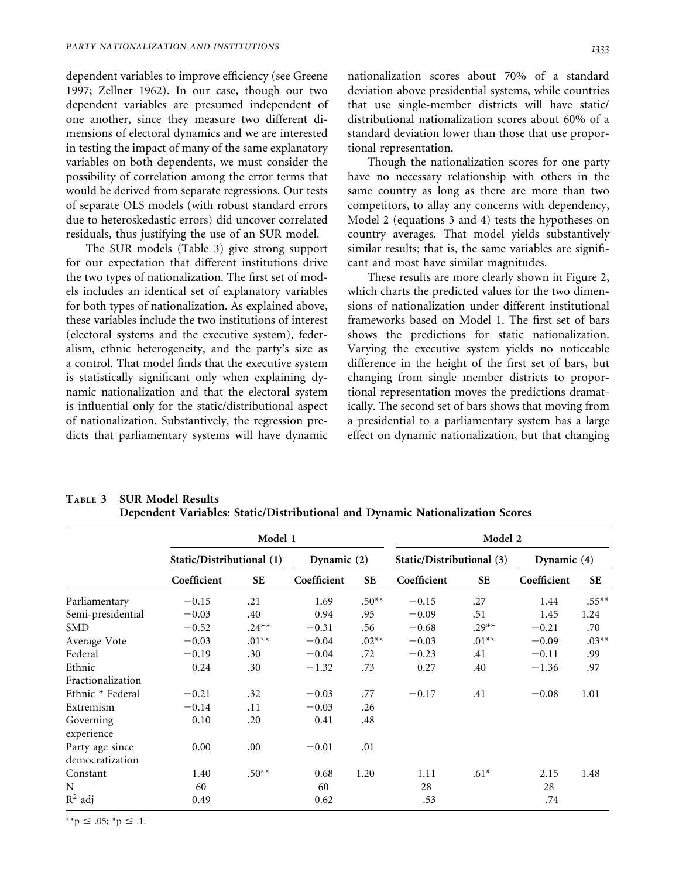dependent variables to improve efficiency (see Greene 1997; Zellner 1962). In our case, though our two dependent variables are presumed independent of one another, since they measure two different dimensions of electoral dynamics and we are interested in testing the impact of many of the same explanatory variables on both dependents, we must consider the possibility of correlation among the error terms that would be derived from separate regressions. Our tests of separate OLS models (with robust standard errors due to heteroskedastic errors) did uncover correlated residuals, thus justifying the use of an SUR model.

The SUR models (Table 3) give strong support for our expectation that different institutions drive the two types of nationalization. The first set of models includes an identical set of explanatory variables for both types of nationalization. As explained above, these variables include the two institutions of interest (electoral systems and the executive system), federalism, ethnic heterogeneity, and the party's size as a control. That model finds that the executive system is statistically significant only when explaining dynamic nationalization and that the electoral system is influential only for the static/distributional aspect of nationalization. Substantively, the regression predicts that parliamentary systems will have dynamic nationalization scores about 70% of a standard deviation above presidential systems, while countries that use single-member districts will have static/ distributional nationalization scores about 60% of a standard deviation lower than those that use proportional representation.

Though the nationalization scores for one party have no necessary relationship with others in the same country as long as there are more than two competitors, to allay any concerns with dependency, Model 2 (equations 3 and 4) tests the hypotheses on country averages. That model yields substantively similar results; that is, the same variables are significant and most have similar magnitudes.

These results are more clearly shown in Figure 2, which charts the predicted values for the two dimensions of nationalization under different institutional frameworks based on Model 1. The first set of bars shows the predictions for static nationalization. Varying the executive system yields no noticeable difference in the height of the first set of bars, but changing from single member districts to proportional representation moves the predictions dramatically. The second set of bars shows that moving from a presidential to a parliamentary system has a large effect on dynamic nationalization, but that changing

|                         | Model 1                   |           |             |           | Model 2                   |           |             |           |
|-------------------------|---------------------------|-----------|-------------|-----------|---------------------------|-----------|-------------|-----------|
|                         | Static/Distributional (1) |           | Dynamic (2) |           | Static/Distributional (3) |           | Dynamic (4) |           |
|                         | Coefficient               | <b>SE</b> | Coefficient | <b>SE</b> | Coefficient               | <b>SE</b> | Coefficient | <b>SE</b> |
| Parliamentary           | $-0.15$                   | .21       | 1.69        | $.50**$   | $-0.15$                   | .27       | 1.44        | $.55***$  |
| Semi-presidential       | $-0.03$                   | .40       | 0.94        | .95       | $-0.09$                   | .51       | 1.45        | 1.24      |
| <b>SMD</b>              | $-0.52$                   | $.24**$   | $-0.31$     | .56       | $-0.68$                   | $.29**$   | $-0.21$     | .70       |
| Average Vote            | $-0.03$                   | $.01**$   | $-0.04$     | $.02**$   | $-0.03$                   | $.01**$   | $-0.09$     | $.03**$   |
| Federal                 | $-0.19$                   | .30       | $-0.04$     | .72       | $-0.23$                   | .41       | $-0.11$     | .99       |
| Ethnic                  | 0.24                      | .30       | $-1.32$     | .73       | 0.27                      | .40       | $-1.36$     | .97       |
| Fractionalization       |                           |           |             |           |                           |           |             |           |
| Ethnic * Federal        | $-0.21$                   | .32       | $-0.03$     | .77       | $-0.17$                   | .41       | $-0.08$     | 1.01      |
| Extremism               | $-0.14$                   | .11       | $-0.03$     | .26       |                           |           |             |           |
| Governing<br>experience | 0.10                      | .20       | 0.41        | .48       |                           |           |             |           |
| Party age since         | 0.00                      | .00       | $-0.01$     | .01       |                           |           |             |           |
| democratization         |                           |           |             |           |                           |           |             |           |
| Constant                | 1.40                      | $.50**$   | 0.68        | 1.20      | 1.11                      | $.61*$    | 2.15        | 1.48      |
| N                       | 60                        |           | 60          |           | 28                        |           | 28          |           |
| $R^2$ adj               | 0.49                      |           | 0.62        |           | .53                       |           | .74         |           |

TABLE 3 SUR Model Results Dependent Variables: Static/Distributional and Dynamic Nationalization Scores

\*\*p  $\leq .05$ ; \*p  $\leq .1$ .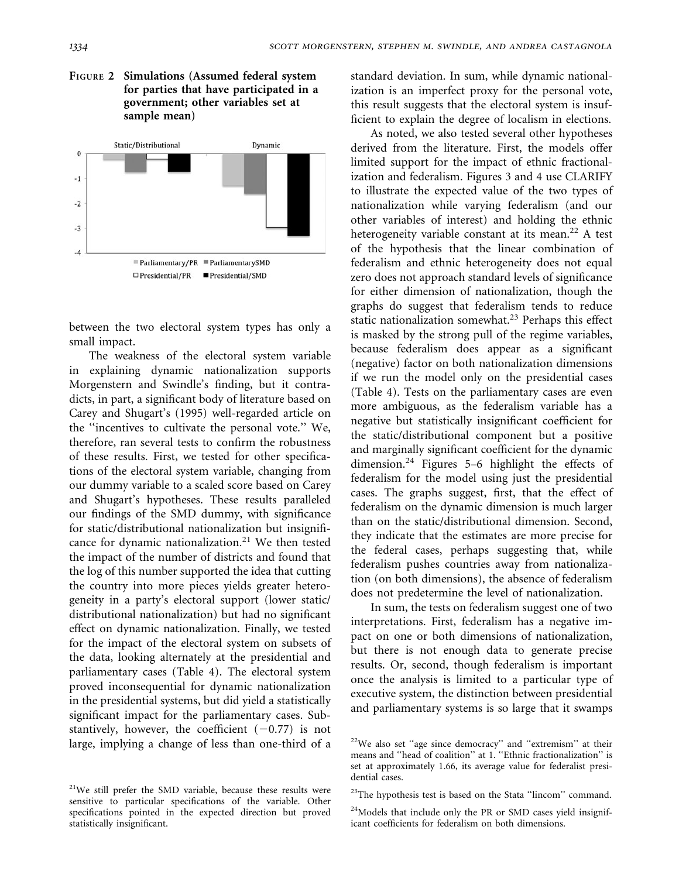FIGURE 2 Simulations (Assumed federal system for parties that have participated in a government; other variables set at sample mean)



between the two electoral system types has only a small impact.

The weakness of the electoral system variable in explaining dynamic nationalization supports Morgenstern and Swindle's finding, but it contradicts, in part, a significant body of literature based on Carey and Shugart's (1995) well-regarded article on the ''incentives to cultivate the personal vote.'' We, therefore, ran several tests to confirm the robustness of these results. First, we tested for other specifications of the electoral system variable, changing from our dummy variable to a scaled score based on Carey and Shugart's hypotheses. These results paralleled our findings of the SMD dummy, with significance for static/distributional nationalization but insignificance for dynamic nationalization.<sup>21</sup> We then tested the impact of the number of districts and found that the log of this number supported the idea that cutting the country into more pieces yields greater heterogeneity in a party's electoral support (lower static/ distributional nationalization) but had no significant effect on dynamic nationalization. Finally, we tested for the impact of the electoral system on subsets of the data, looking alternately at the presidential and parliamentary cases (Table 4). The electoral system proved inconsequential for dynamic nationalization in the presidential systems, but did yield a statistically significant impact for the parliamentary cases. Substantively, however, the coefficient  $(-0.77)$  is not large, implying a change of less than one-third of a standard deviation. In sum, while dynamic nationalization is an imperfect proxy for the personal vote, this result suggests that the electoral system is insufficient to explain the degree of localism in elections.

As noted, we also tested several other hypotheses derived from the literature. First, the models offer limited support for the impact of ethnic fractionalization and federalism. Figures 3 and 4 use CLARIFY to illustrate the expected value of the two types of nationalization while varying federalism (and our other variables of interest) and holding the ethnic heterogeneity variable constant at its mean.<sup>22</sup> A test of the hypothesis that the linear combination of federalism and ethnic heterogeneity does not equal zero does not approach standard levels of significance for either dimension of nationalization, though the graphs do suggest that federalism tends to reduce static nationalization somewhat.<sup>23</sup> Perhaps this effect is masked by the strong pull of the regime variables, because federalism does appear as a significant (negative) factor on both nationalization dimensions if we run the model only on the presidential cases (Table 4). Tests on the parliamentary cases are even more ambiguous, as the federalism variable has a negative but statistically insignificant coefficient for the static/distributional component but a positive and marginally significant coefficient for the dynamic dimension.<sup>24</sup> Figures 5–6 highlight the effects of federalism for the model using just the presidential cases. The graphs suggest, first, that the effect of federalism on the dynamic dimension is much larger than on the static/distributional dimension. Second, they indicate that the estimates are more precise for the federal cases, perhaps suggesting that, while federalism pushes countries away from nationalization (on both dimensions), the absence of federalism does not predetermine the level of nationalization.

In sum, the tests on federalism suggest one of two interpretations. First, federalism has a negative impact on one or both dimensions of nationalization, but there is not enough data to generate precise results. Or, second, though federalism is important once the analysis is limited to a particular type of executive system, the distinction between presidential and parliamentary systems is so large that it swamps

 $21$ We still prefer the SMD variable, because these results were sensitive to particular specifications of the variable. Other specifications pointed in the expected direction but proved statistically insignificant.

 $22$ We also set "age since democracy" and "extremism" at their means and ''head of coalition'' at 1. ''Ethnic fractionalization'' is set at approximately 1.66, its average value for federalist presidential cases.

<sup>&</sup>lt;sup>23</sup>The hypothesis test is based on the Stata "lincom" command.

 $24$ Models that include only the PR or SMD cases yield insignificant coefficients for federalism on both dimensions.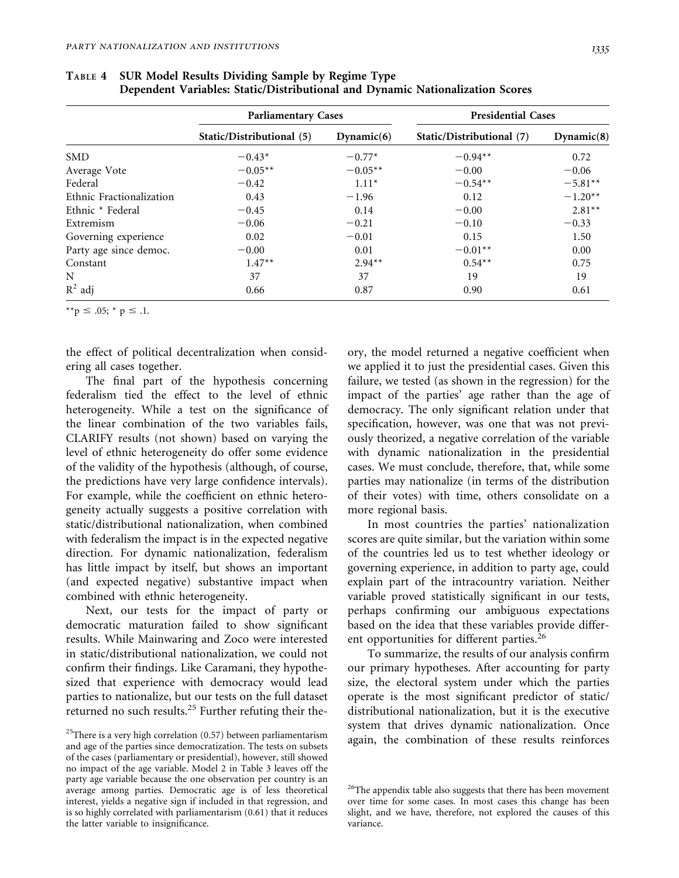|                          | <b>Parliamentary Cases</b> |               | <b>Presidential Cases</b> |               |  |
|--------------------------|----------------------------|---------------|---------------------------|---------------|--|
|                          | Static/Distributional (5)  | Dynamic $(6)$ | Static/Distributional (7) | Dynamic $(8)$ |  |
| <b>SMD</b>               | $-0.43*$                   | $-0.77*$      | $-0.94**$                 | 0.72          |  |
| Average Vote             | $-0.05**$                  | $-0.05**$     | $-0.00$                   | $-0.06$       |  |
| Federal                  | $-0.42$                    | $1.11*$       | $-0.54**$                 | $-5.81**$     |  |
| Ethnic Fractionalization | 0.43                       | $-1.96$       | 0.12                      | $-1.20**$     |  |
| Ethnic * Federal         | $-0.45$                    | 0.14          | $-0.00$                   | $2.81**$      |  |
| Extremism                | $-0.06$                    | $-0.21$       | $-0.10$                   | $-0.33$       |  |
| Governing experience     | 0.02                       | $-0.01$       | 0.15                      | 1.50          |  |
| Party age since democ.   | $-0.00$                    | 0.01          | $-0.01**$                 | 0.00          |  |
| Constant                 | $1.47**$                   | $2.94**$      | $0.54**$                  | 0.75          |  |
| N                        | 37                         | 37            | 19                        | 19            |  |
| $R^2$ adj                | 0.66                       | 0.87          | 0.90                      | 0.61          |  |

| TABLE 4 SUR Model Results Dividing Sample by Regime Type                      |
|-------------------------------------------------------------------------------|
| Dependent Variables: Static/Distributional and Dynamic Nationalization Scores |

\*\*p  $\leq .05;$  \* p  $\leq .1$ .

the effect of political decentralization when considering all cases together.

The final part of the hypothesis concerning federalism tied the effect to the level of ethnic heterogeneity. While a test on the significance of the linear combination of the two variables fails, CLARIFY results (not shown) based on varying the level of ethnic heterogeneity do offer some evidence of the validity of the hypothesis (although, of course, the predictions have very large confidence intervals). For example, while the coefficient on ethnic heterogeneity actually suggests a positive correlation with static/distributional nationalization, when combined with federalism the impact is in the expected negative direction. For dynamic nationalization, federalism has little impact by itself, but shows an important (and expected negative) substantive impact when combined with ethnic heterogeneity.

Next, our tests for the impact of party or democratic maturation failed to show significant results. While Mainwaring and Zoco were interested in static/distributional nationalization, we could not confirm their findings. Like Caramani, they hypothesized that experience with democracy would lead parties to nationalize, but our tests on the full dataset returned no such results.25 Further refuting their theory, the model returned a negative coefficient when we applied it to just the presidential cases. Given this failure, we tested (as shown in the regression) for the impact of the parties' age rather than the age of democracy. The only significant relation under that specification, however, was one that was not previously theorized, a negative correlation of the variable with dynamic nationalization in the presidential cases. We must conclude, therefore, that, while some parties may nationalize (in terms of the distribution of their votes) with time, others consolidate on a more regional basis.

In most countries the parties' nationalization scores are quite similar, but the variation within some of the countries led us to test whether ideology or governing experience, in addition to party age, could explain part of the intracountry variation. Neither variable proved statistically significant in our tests, perhaps confirming our ambiguous expectations based on the idea that these variables provide different opportunities for different parties.<sup>26</sup>

To summarize, the results of our analysis confirm our primary hypotheses. After accounting for party size, the electoral system under which the parties operate is the most significant predictor of static/ distributional nationalization, but it is the executive system that drives dynamic nationalization. Once again, the combination of these results reinforces

<sup>&</sup>lt;sup>25</sup>There is a very high correlation  $(0.57)$  between parliamentarism and age of the parties since democratization. The tests on subsets of the cases (parliamentary or presidential), however, still showed no impact of the age variable. Model 2 in Table 3 leaves off the party age variable because the one observation per country is an average among parties. Democratic age is of less theoretical interest, yields a negative sign if included in that regression, and is so highly correlated with parliamentarism (0.61) that it reduces the latter variable to insignificance.

<sup>&</sup>lt;sup>26</sup>The appendix table also suggests that there has been movement over time for some cases. In most cases this change has been slight, and we have, therefore, not explored the causes of this variance.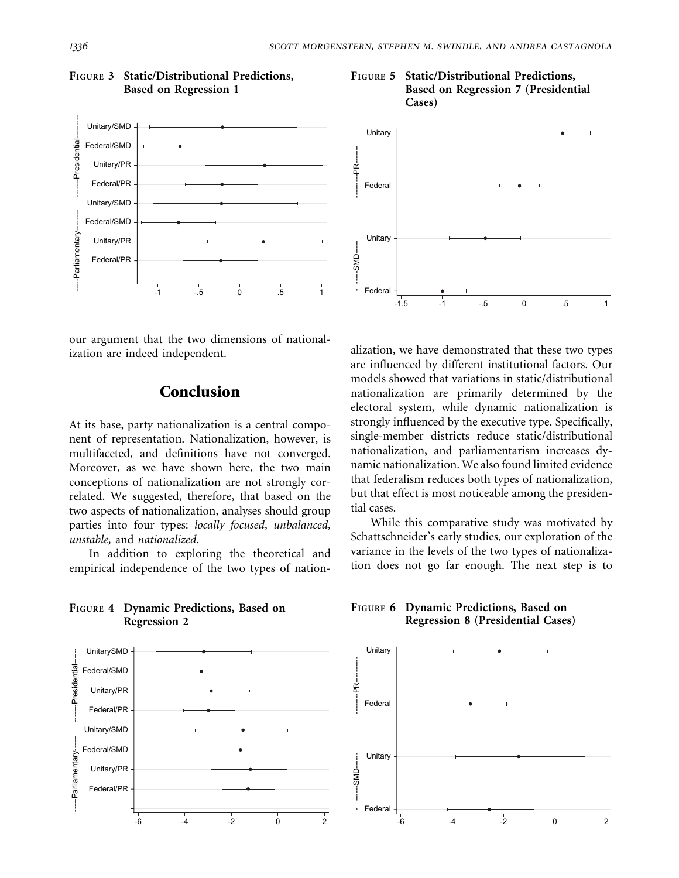Cases)

FIGURE 5 Static/Distributional Predictions,

Based on Regression 7 (Presidential



#### FIGURE 3 Static/Distributional Predictions, Based on Regression 1

our argument that the two dimensions of nationalization are indeed independent.

# Conclusion

At its base, party nationalization is a central component of representation. Nationalization, however, is multifaceted, and definitions have not converged. Moreover, as we have shown here, the two main conceptions of nationalization are not strongly correlated. We suggested, therefore, that based on the two aspects of nationalization, analyses should group parties into four types: locally focused, unbalanced, unstable, and nationalized.

In addition to exploring the theoretical and empirical independence of the two types of nation-



alization, we have demonstrated that these two types are influenced by different institutional factors. Our models showed that variations in static/distributional nationalization are primarily determined by the electoral system, while dynamic nationalization is strongly influenced by the executive type. Specifically, single-member districts reduce static/distributional nationalization, and parliamentarism increases dynamic nationalization. We also found limited evidence that federalism reduces both types of nationalization,  $-1.5$   $-1$   $-5$  0  $5$  1

While this comparative study was motivated by Schattschneider's early studies, our exploration of the variance in the levels of the two types of nationalization does not go far enough. The next step is to

but that effect is most noticeable among the presiden-

#### FIGURE 4 Dynamic Predictions, Based on Regression 2

FIGURE 6 Dynamic Predictions, Based on Regression 8 (Presidential Cases)



tial cases.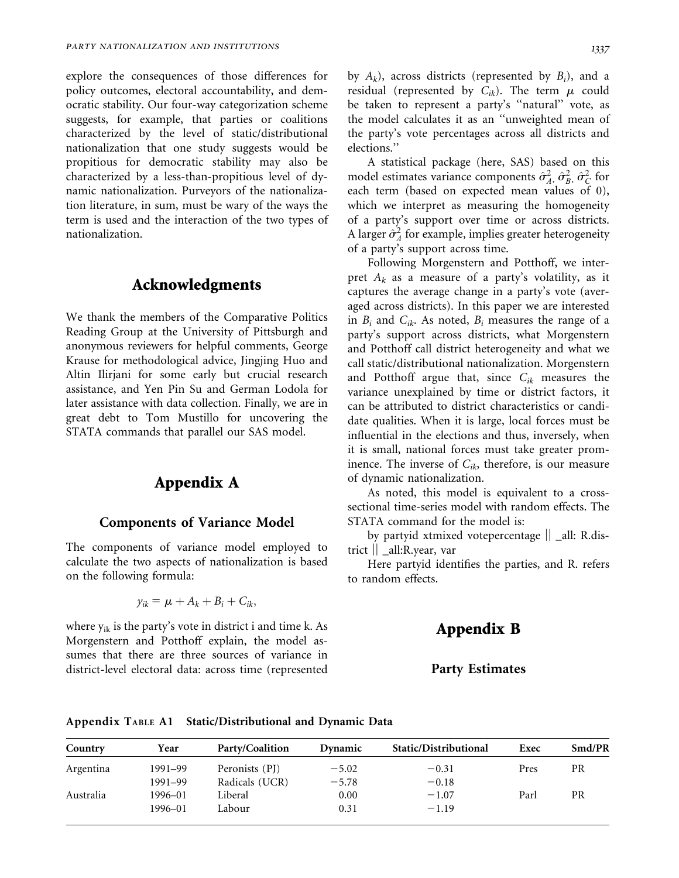explore the consequences of those differences for policy outcomes, electoral accountability, and democratic stability. Our four-way categorization scheme suggests, for example, that parties or coalitions characterized by the level of static/distributional nationalization that one study suggests would be propitious for democratic stability may also be characterized by a less-than-propitious level of dynamic nationalization. Purveyors of the nationalization literature, in sum, must be wary of the ways the term is used and the interaction of the two types of nationalization.

#### Acknowledgments

We thank the members of the Comparative Politics Reading Group at the University of Pittsburgh and anonymous reviewers for helpful comments, George Krause for methodological advice, Jingjing Huo and Altin Ilirjani for some early but crucial research assistance, and Yen Pin Su and German Lodola for later assistance with data collection. Finally, we are in great debt to Tom Mustillo for uncovering the STATA commands that parallel our SAS model.

#### Appendix A

#### Components of Variance Model

The components of variance model employed to calculate the two aspects of nationalization is based on the following formula:

$$
y_{ik} = \mu + A_k + B_i + C_{ik},
$$

where  $y_{ik}$  is the party's vote in district i and time k. As Morgenstern and Potthoff explain, the model assumes that there are three sources of variance in district-level electoral data: across time (represented

by  $A_k$ ), across districts (represented by  $B_i$ ), and a residual (represented by  $C_{ik}$ ). The term  $\mu$  could be taken to represent a party's ''natural'' vote, as the model calculates it as an ''unweighted mean of the party's vote percentages across all districts and elections.''

A statistical package (here, SAS) based on this model estimates variance components  $\hat{\sigma}^2_A$ ,  $\hat{\sigma}^2_B$ ,  $\hat{\sigma}^2_C$  for each term (based on expected mean values of 0), which we interpret as measuring the homogeneity of a party's support over time or across districts. A larger  $\hat{\sigma}_A^2$  for example, implies greater heterogeneity of a party's support across time.

Following Morgenstern and Potthoff, we interpret  $A_k$  as a measure of a party's volatility, as it captures the average change in a party's vote (averaged across districts). In this paper we are interested in  $B_i$  and  $C_{ik}$ . As noted,  $B_i$  measures the range of a party's support across districts, what Morgenstern and Potthoff call district heterogeneity and what we call static/distributional nationalization. Morgenstern and Potthoff argue that, since  $C_{ik}$  measures the variance unexplained by time or district factors, it can be attributed to district characteristics or candidate qualities. When it is large, local forces must be influential in the elections and thus, inversely, when it is small, national forces must take greater prominence. The inverse of  $C_{ik}$ , therefore, is our measure of dynamic nationalization.

As noted, this model is equivalent to a crosssectional time-series model with random effects. The STATA command for the model is:

by partyid xtmixed votepercentage  $\parallel$  \_all: R.district  $\parallel$  all:R.year, var

Here partyid identifies the parties, and R. refers to random effects.

# Appendix B

#### Party Estimates

Appendix TABLE A1 Static/Distributional and Dynamic Data

| Country   | Year        | <b>Party/Coalition</b> | Dynamic | Static/Distributional | Exec | Smd/PR |
|-----------|-------------|------------------------|---------|-----------------------|------|--------|
| Argentina | 1991–99     | Peronists (PJ)         | $-5.02$ | $-0.31$               | Pres | PR     |
|           | 1991–99     | Radicals (UCR)         | $-5.78$ | $-0.18$               |      |        |
| Australia | 1996–01     | Liberal                | 0.00    | $-1.07$               | Parl | PR     |
|           | $1996 - 01$ | Labour                 | 0.31    | $-1.19$               |      |        |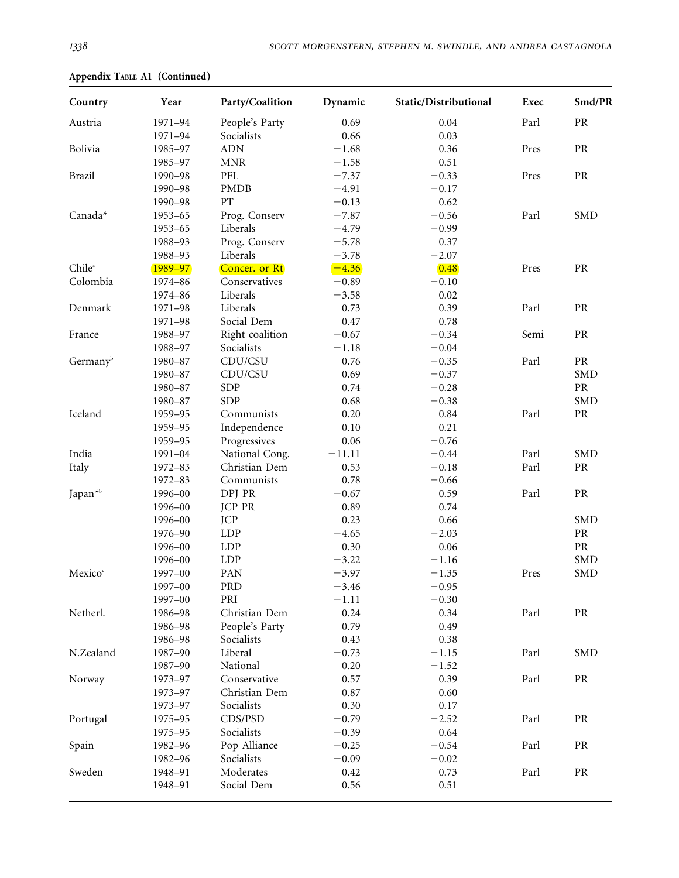| Country              | Year    | Party/Coalition | Dynamic  | Static/Distributional | Exec | Smd/PR     |
|----------------------|---------|-----------------|----------|-----------------------|------|------------|
| Austria              | 1971-94 | People's Party  | 0.69     | 0.04                  | Parl | PR         |
|                      | 1971-94 | Socialists      | 0.66     | 0.03                  |      |            |
| Bolivia              | 1985-97 | <b>ADN</b>      | $-1.68$  | 0.36                  | Pres | PR         |
|                      | 1985-97 | <b>MNR</b>      | $-1.58$  | 0.51                  |      |            |
| <b>Brazil</b>        | 1990-98 | PFL             | $-7.37$  | $-0.33$               | Pres | PR         |
|                      | 1990-98 | <b>PMDB</b>     | $-4.91$  | $-0.17$               |      |            |
|                      | 1990-98 | PT              | $-0.13$  | 0.62                  |      |            |
| Canada*              | 1953-65 | Prog. Conserv   | $-7.87$  | $-0.56$               | Parl | <b>SMD</b> |
|                      | 1953-65 | Liberals        | $-4.79$  | $-0.99$               |      |            |
|                      | 1988-93 | Prog. Conserv   | $-5.78$  | 0.37                  |      |            |
|                      | 1988-93 | Liberals        | $-3.78$  | $-2.07$               |      |            |
| Chile <sup>a</sup>   | 1989-97 | Concer. or Rt   | $-4.36$  | 0.48                  | Pres | $\rm PR$   |
| Colombia             | 1974-86 | Conservatives   | $-0.89$  | $-0.10$               |      |            |
|                      | 1974-86 | Liberals        | $-3.58$  | 0.02                  |      |            |
| Denmark              | 1971-98 | Liberals        | 0.73     | 0.39                  | Parl | $\rm PR$   |
|                      | 1971-98 | Social Dem      | 0.47     | 0.78                  |      |            |
| France               | 1988-97 | Right coalition | $-0.67$  | $-0.34$               | Semi | $\rm PR$   |
|                      | 1988-97 | Socialists      | $-1.18$  | $-0.04$               |      |            |
| Germany <sup>b</sup> | 1980-87 | CDU/CSU         | 0.76     | $-0.35$               | Parl | PR         |
|                      | 1980-87 | CDU/CSU         | 0.69     | $-0.37$               |      | <b>SMD</b> |
|                      | 1980-87 | <b>SDP</b>      | 0.74     | $-0.28$               |      | PR         |
|                      |         | <b>SDP</b>      |          |                       |      | <b>SMD</b> |
|                      | 1980-87 |                 | 0.68     | $-0.38$               |      |            |
| Iceland              | 1959-95 | Communists      | 0.20     | 0.84                  | Parl | $\rm PR$   |
|                      | 1959-95 | Independence    | 0.10     | 0.21                  |      |            |
|                      | 1959-95 | Progressives    | 0.06     | $-0.76$               |      |            |
| India                | 1991-04 | National Cong.  | $-11.11$ | $-0.44$               | Parl | <b>SMD</b> |
| Italy                | 1972-83 | Christian Dem   | 0.53     | $-0.18$               | Parl | $\rm PR$   |
|                      | 1972-83 | Communists      | 0.78     | $-0.66$               |      |            |
| Japan <sup>*b</sup>  | 1996-00 | DPJ PR          | $-0.67$  | 0.59                  | Parl | PR         |
|                      | 1996-00 | <b>JCP PR</b>   | 0.89     | 0.74                  |      |            |
|                      | 1996-00 | <b>JCP</b>      | 0.23     | 0.66                  |      | <b>SMD</b> |
|                      | 1976-90 | LDP             | $-4.65$  | $-2.03$               |      | PR         |
|                      | 1996-00 | LDP             | 0.30     | 0.06                  |      | PR         |
|                      | 1996-00 | LDP             | $-3.22$  | $-1.16$               |      | SMD        |
| Mexico <sup>c</sup>  | 1997-00 | PAN             | $-3.97$  | $-1.35$               | Pres | <b>SMD</b> |
|                      | 1997-00 | PRD             | $-3.46$  | $-0.95$               |      |            |
|                      | 1997-00 | PRI             | $-1.11$  | $-0.30$               |      |            |
| Netherl.             | 1986-98 | Christian Dem   | 0.24     | 0.34                  | Parl | $\rm PR$   |
|                      | 1986-98 | People's Party  | 0.79     | 0.49                  |      |            |
|                      | 1986-98 | Socialists      | 0.43     | 0.38                  |      |            |
| N.Zealand            | 1987-90 | Liberal         | $-0.73$  | $-1.15$               | Parl | <b>SMD</b> |
|                      | 1987-90 | National        | 0.20     | $-1.52$               |      |            |
| Norway               | 1973-97 | Conservative    | 0.57     | 0.39                  | Parl | $\rm PR$   |
|                      | 1973-97 | Christian Dem   | 0.87     | 0.60                  |      |            |
|                      | 1973-97 | Socialists      | 0.30     | 0.17                  |      |            |
| Portugal             | 1975-95 | CDS/PSD         | $-0.79$  | $-2.52$               | Parl | PR         |
|                      | 1975-95 | Socialists      | $-0.39$  | 0.64                  |      |            |
| Spain                | 1982-96 | Pop Alliance    | $-0.25$  | $-0.54$               | Parl | PR         |
|                      | 1982-96 | Socialists      | $-0.09$  | $-0.02$               |      |            |
| Sweden               | 1948-91 | Moderates       | 0.42     | 0.73                  | Parl | PR         |
|                      | 1948-91 | Social Dem      | 0.56     | 0.51                  |      |            |
|                      |         |                 |          |                       |      |            |

Appendix TABLE A1 (Continued)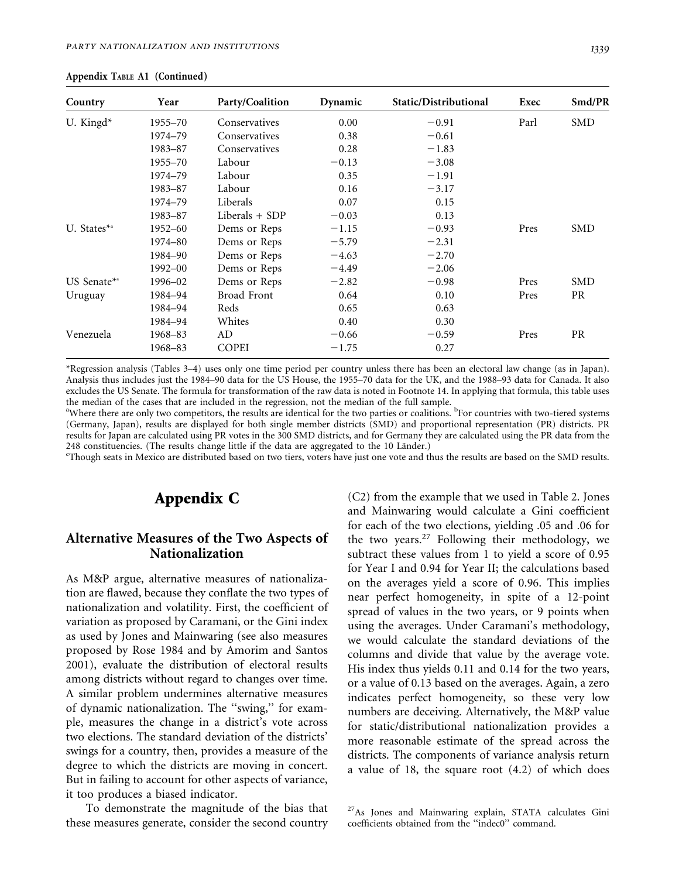| Country                    | Year        | <b>Party/Coalition</b> | Dynamic | Static/Distributional | Exec | Smd/PR     |
|----------------------------|-------------|------------------------|---------|-----------------------|------|------------|
| U. Kingd <sup>*</sup>      | 1955–70     | Conservatives          | 0.00    | $-0.91$               | Parl | <b>SMD</b> |
|                            | 1974-79     | Conservatives          | 0.38    | $-0.61$               |      |            |
|                            | 1983-87     | Conservatives          | 0.28    | $-1.83$               |      |            |
|                            | 1955-70     | Labour                 | $-0.13$ | $-3.08$               |      |            |
|                            | 1974-79     | Labour                 | 0.35    | $-1.91$               |      |            |
|                            | 1983-87     | Labour                 | 0.16    | $-3.17$               |      |            |
|                            | 1974-79     | Liberals               | 0.07    | 0.15                  |      |            |
|                            | 1983-87     | Liberals $+$ SDP       | $-0.03$ | 0.13                  |      |            |
| U. States $*$ <sup>a</sup> | $1952 - 60$ | Dems or Reps           | $-1.15$ | $-0.93$               | Pres | <b>SMD</b> |
|                            | 1974-80     | Dems or Reps           | $-5.79$ | $-2.31$               |      |            |
|                            | 1984-90     | Dems or Reps           | $-4.63$ | $-2.70$               |      |            |
|                            | 1992-00     | Dems or Reps           | $-4.49$ | $-2.06$               |      |            |
| US Senate $*$ <sup>a</sup> | 1996-02     | Dems or Reps           | $-2.82$ | $-0.98$               | Pres | <b>SMD</b> |
| Uruguay                    | 1984-94     | <b>Broad Front</b>     | 0.64    | 0.10                  | Pres | <b>PR</b>  |
|                            | 1984–94     | Reds                   | 0.65    | 0.63                  |      |            |
|                            | 1984-94     | Whites                 | 0.40    | 0.30                  |      |            |
| Venezuela                  | 1968-83     | AD                     | $-0.66$ | $-0.59$               | Pres | <b>PR</b>  |
|                            | 1968-83     | <b>COPEI</b>           | $-1.75$ | 0.27                  |      |            |

#### Appendix TABLE A1 (Continued)

\*Regression analysis (Tables 3–4) uses only one time period per country unless there has been an electoral law change (as in Japan). Analysis thus includes just the 1984–90 data for the US House, the 1955–70 data for the UK, and the 1988–93 data for Canada. It also excludes the US Senate. The formula for transformation of the raw data is noted in Footnote 14. In applying that formula, this table uses the median of the cases that are included in the regression, not the median of the full sample.

<sup>a</sup>Where there are only two competitors, the results are identical for the two parties or coalitions. <sup>b</sup>For countries with two-tiered systems (Germany, Japan), results are displayed for both single member districts (SMD) and proportional representation (PR) districts. PR results for Japan are calculated using PR votes in the 300 SMD districts, and for Germany they are calculated using the PR data from the 248 constituencies. (The results change little if the data are aggregated to the 10 Länder.)

Though seats in Mexico are distributed based on two tiers, voters have just one vote and thus the results are based on the SMD results.

# Appendix C

#### Alternative Measures of the Two Aspects of Nationalization

As M&P argue, alternative measures of nationalization are flawed, because they conflate the two types of nationalization and volatility. First, the coefficient of variation as proposed by Caramani, or the Gini index as used by Jones and Mainwaring (see also measures proposed by Rose 1984 and by Amorim and Santos 2001), evaluate the distribution of electoral results among districts without regard to changes over time. A similar problem undermines alternative measures of dynamic nationalization. The ''swing,'' for example, measures the change in a district's vote across two elections. The standard deviation of the districts' swings for a country, then, provides a measure of the degree to which the districts are moving in concert. But in failing to account for other aspects of variance, it too produces a biased indicator.

To demonstrate the magnitude of the bias that these measures generate, consider the second country

(C2) from the example that we used in Table 2. Jones and Mainwaring would calculate a Gini coefficient for each of the two elections, yielding .05 and .06 for the two years.<sup>27</sup> Following their methodology, we subtract these values from 1 to yield a score of 0.95 for Year I and 0.94 for Year II; the calculations based on the averages yield a score of 0.96. This implies near perfect homogeneity, in spite of a 12-point spread of values in the two years, or 9 points when using the averages. Under Caramani's methodology, we would calculate the standard deviations of the columns and divide that value by the average vote. His index thus yields 0.11 and 0.14 for the two years, or a value of 0.13 based on the averages. Again, a zero indicates perfect homogeneity, so these very low numbers are deceiving. Alternatively, the M&P value for static/distributional nationalization provides a more reasonable estimate of the spread across the districts. The components of variance analysis return a value of 18, the square root (4.2) of which does

<sup>&</sup>lt;sup>27</sup>As Jones and Mainwaring explain, STATA calculates Gini coefficients obtained from the ''indec0'' command.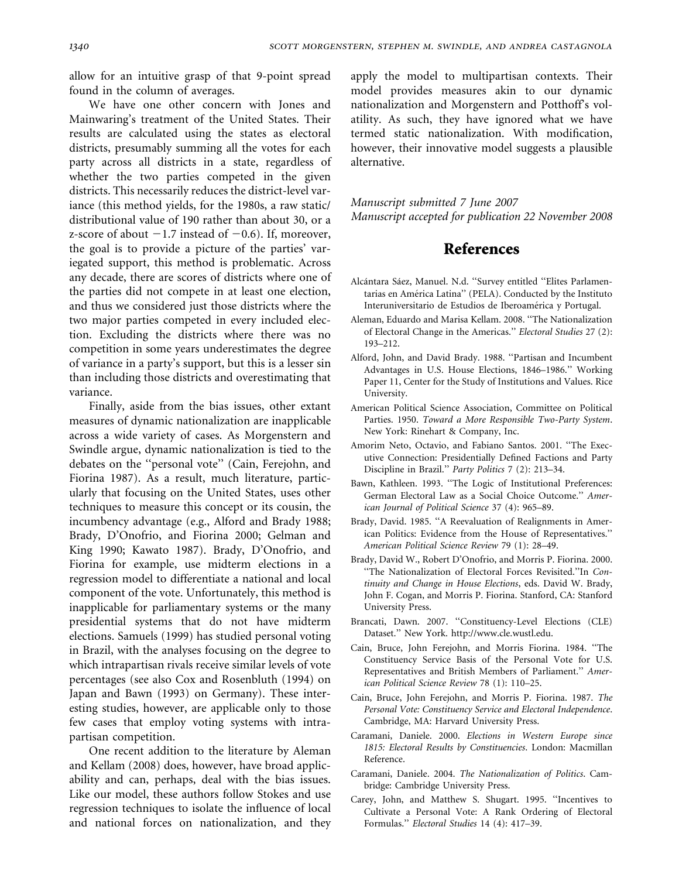allow for an intuitive grasp of that 9-point spread found in the column of averages.

We have one other concern with Jones and Mainwaring's treatment of the United States. Their results are calculated using the states as electoral districts, presumably summing all the votes for each party across all districts in a state, regardless of whether the two parties competed in the given districts. This necessarily reduces the district-level variance (this method yields, for the 1980s, a raw static/ distributional value of 190 rather than about 30, or a z-score of about  $-1.7$  instead of  $-0.6$ ). If, moreover, the goal is to provide a picture of the parties' variegated support, this method is problematic. Across any decade, there are scores of districts where one of the parties did not compete in at least one election, and thus we considered just those districts where the two major parties competed in every included election. Excluding the districts where there was no competition in some years underestimates the degree of variance in a party's support, but this is a lesser sin than including those districts and overestimating that variance.

Finally, aside from the bias issues, other extant measures of dynamic nationalization are inapplicable across a wide variety of cases. As Morgenstern and Swindle argue, dynamic nationalization is tied to the debates on the ''personal vote'' (Cain, Ferejohn, and Fiorina 1987). As a result, much literature, particularly that focusing on the United States, uses other techniques to measure this concept or its cousin, the incumbency advantage (e.g., Alford and Brady 1988; Brady, D'Onofrio, and Fiorina 2000; Gelman and King 1990; Kawato 1987). Brady, D'Onofrio, and Fiorina for example, use midterm elections in a regression model to differentiate a national and local component of the vote. Unfortunately, this method is inapplicable for parliamentary systems or the many presidential systems that do not have midterm elections. Samuels (1999) has studied personal voting in Brazil, with the analyses focusing on the degree to which intrapartisan rivals receive similar levels of vote percentages (see also Cox and Rosenbluth (1994) on Japan and Bawn (1993) on Germany). These interesting studies, however, are applicable only to those few cases that employ voting systems with intrapartisan competition.

One recent addition to the literature by Aleman and Kellam (2008) does, however, have broad applicability and can, perhaps, deal with the bias issues. Like our model, these authors follow Stokes and use regression techniques to isolate the influence of local and national forces on nationalization, and they apply the model to multipartisan contexts. Their model provides measures akin to our dynamic nationalization and Morgenstern and Potthoff's volatility. As such, they have ignored what we have termed static nationalization. With modification, however, their innovative model suggests a plausible alternative.

Manuscript submitted 7 June 2007 Manuscript accepted for publication 22 November 2008

#### References

- Alcántara Sáez, Manuel. N.d. "Survey entitled "Elites Parlamentarias en América Latina" (PELA). Conducted by the Instituto Interuniversitario de Estudios de Iberoamérica y Portugal.
- Aleman, Eduardo and Marisa Kellam. 2008. ''The Nationalization of Electoral Change in the Americas.'' Electoral Studies 27 (2): 193–212.
- Alford, John, and David Brady. 1988. ''Partisan and Incumbent Advantages in U.S. House Elections, 1846–1986.'' Working Paper 11, Center for the Study of Institutions and Values. Rice University.
- American Political Science Association, Committee on Political Parties. 1950. Toward a More Responsible Two-Party System. New York: Rinehart & Company, Inc.
- Amorim Neto, Octavio, and Fabiano Santos. 2001. ''The Executive Connection: Presidentially Defined Factions and Party Discipline in Brazil.'' Party Politics 7 (2): 213–34.
- Bawn, Kathleen. 1993. ''The Logic of Institutional Preferences: German Electoral Law as a Social Choice Outcome.'' American Journal of Political Science 37 (4): 965–89.
- Brady, David. 1985. ''A Reevaluation of Realignments in American Politics: Evidence from the House of Representatives.'' American Political Science Review 79 (1): 28–49.
- Brady, David W., Robert D'Onofrio, and Morris P. Fiorina. 2000. ''The Nationalization of Electoral Forces Revisited.''In Continuity and Change in House Elections, eds. David W. Brady, John F. Cogan, and Morris P. Fiorina. Stanford, CA: Stanford University Press.
- Brancati, Dawn. 2007. ''Constituency-Level Elections (CLE) Dataset.'' New York. http://www.cle.wustl.edu.
- Cain, Bruce, John Ferejohn, and Morris Fiorina. 1984. ''The Constituency Service Basis of the Personal Vote for U.S. Representatives and British Members of Parliament.'' American Political Science Review 78 (1): 110–25.
- Cain, Bruce, John Ferejohn, and Morris P. Fiorina. 1987. The Personal Vote: Constituency Service and Electoral Independence. Cambridge, MA: Harvard University Press.
- Caramani, Daniele. 2000. Elections in Western Europe since 1815: Electoral Results by Constituencies. London: Macmillan Reference.
- Caramani, Daniele. 2004. The Nationalization of Politics. Cambridge: Cambridge University Press.
- Carey, John, and Matthew S. Shugart. 1995. ''Incentives to Cultivate a Personal Vote: A Rank Ordering of Electoral Formulas.'' Electoral Studies 14 (4): 417–39.